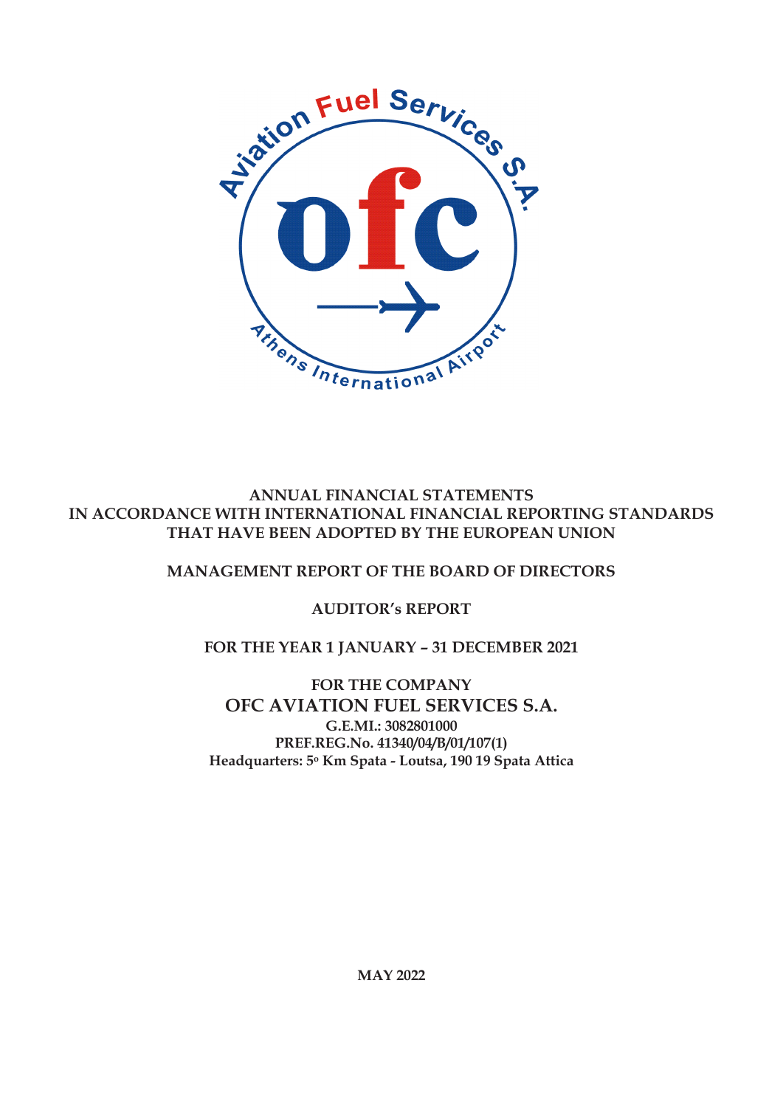

## **ANNUAL FINANCIAL STATEMENTS IN ACCORDANCE WITH INTERNATIONAL FINANCIAL REPORTING STANDARDS THAT HAVE BEEN ADOPTED BY THE EUROPEAN UNION**

## **MANAGEMENT REPORT OF THE BOARD OF DIRECTORS**

## **AUDITOR's REPORT**

## **FOR THE YEAR 1 JANUARY – 31 DECEMBER 2021**

**FOR THE COMPANY OFC AVIATION FUEL SERVICES S.A. G.E.MI.: 3082801000 PREF.REG.No. 41340/04/Β/01/107(1) Headquarters: 5<sup>ο</sup> Km Spata - Loutsa, 190 19 Spata Attica**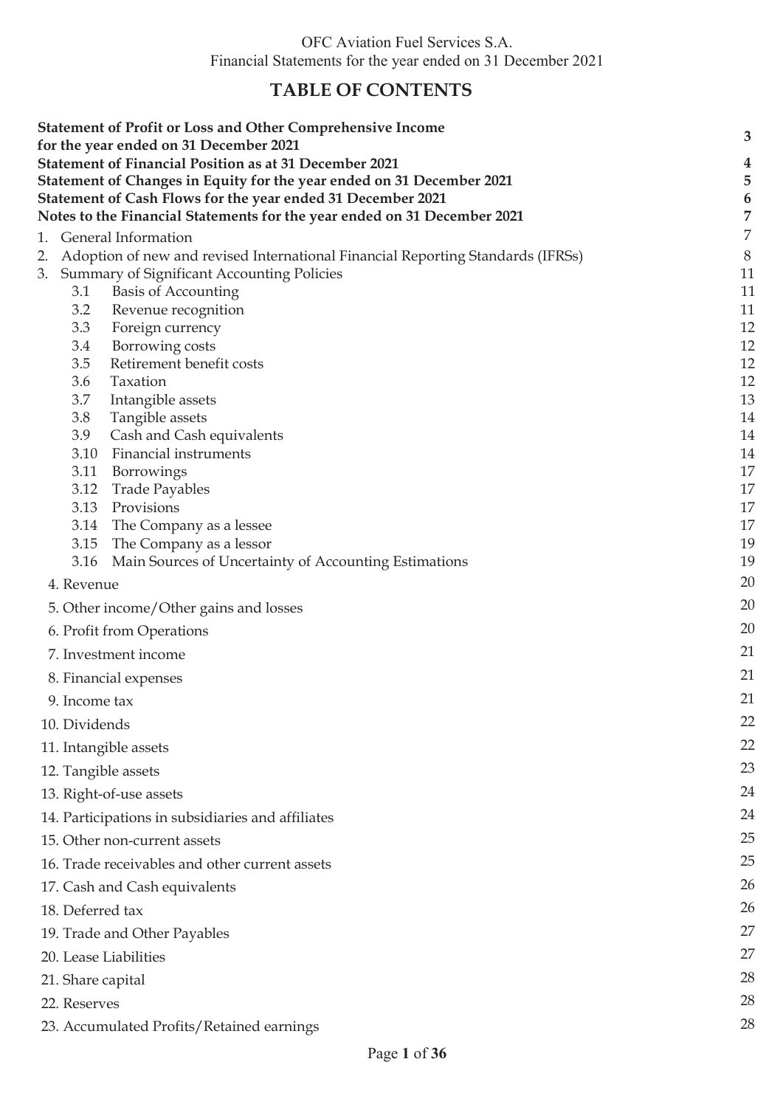# **TABLE OF CONTENTS**

| <b>Statement of Profit or Loss and Other Comprehensive Income</b><br>for the year ended on 31 December 2021 | 3                |
|-------------------------------------------------------------------------------------------------------------|------------------|
| <b>Statement of Financial Position as at 31 December 2021</b>                                               | $\boldsymbol{4}$ |
| Statement of Changes in Equity for the year ended on 31 December 2021                                       | 5                |
| Statement of Cash Flows for the year ended 31 December 2021                                                 | $\boldsymbol{6}$ |
| Notes to the Financial Statements for the year ended on 31 December 2021                                    | $\overline{7}$   |
| General Information<br>1.                                                                                   | 7                |
| Adoption of new and revised International Financial Reporting Standards (IFRSs)                             | $8\,$            |
| 3. Summary of Significant Accounting Policies                                                               | 11               |
| <b>Basis of Accounting</b><br>3.1<br>Revenue recognition<br>3.2                                             | 11<br>11         |
| 3.3<br>Foreign currency                                                                                     | 12               |
| Borrowing costs<br>3.4                                                                                      | 12               |
| Retirement benefit costs<br>3.5                                                                             | 12               |
| 3.6<br>Taxation                                                                                             | 12               |
| 3.7<br>Intangible assets                                                                                    | 13               |
| Tangible assets<br>3.8                                                                                      | 14               |
| Cash and Cash equivalents<br>3.9<br>Financial instruments<br>3.10                                           | 14<br>14         |
| 3.11<br>Borrowings                                                                                          | 17               |
| 3.12<br><b>Trade Payables</b>                                                                               | 17               |
| 3.13<br>Provisions                                                                                          | 17               |
| 3.14<br>The Company as a lessee                                                                             | 17               |
| 3.15<br>The Company as a lessor                                                                             | 19               |
| 3.16<br>Main Sources of Uncertainty of Accounting Estimations                                               | 19               |
| 4. Revenue                                                                                                  | 20               |
| 5. Other income/Other gains and losses                                                                      | 20               |
| 6. Profit from Operations                                                                                   | 20               |
| 7. Investment income                                                                                        | 21               |
| 8. Financial expenses                                                                                       | 21               |
| 9. Income tax                                                                                               | 21               |
| 10. Dividends                                                                                               | 22               |
| 11. Intangible assets                                                                                       | 22               |
| 12. Tangible assets                                                                                         | 23               |
| 13. Right-of-use assets                                                                                     | 24               |
| 14. Participations in subsidiaries and affiliates                                                           | 24               |
| 15. Other non-current assets                                                                                | 25               |
| 16. Trade receivables and other current assets                                                              | 25               |
| 17. Cash and Cash equivalents                                                                               | 26               |
| 18. Deferred tax                                                                                            | 26               |
| 19. Trade and Other Payables                                                                                | 27               |
| 20. Lease Liabilities                                                                                       | 27               |
| 21. Share capital                                                                                           | 28               |
| 22. Reserves                                                                                                | 28               |
| 23. Accumulated Profits/Retained earnings                                                                   | 28               |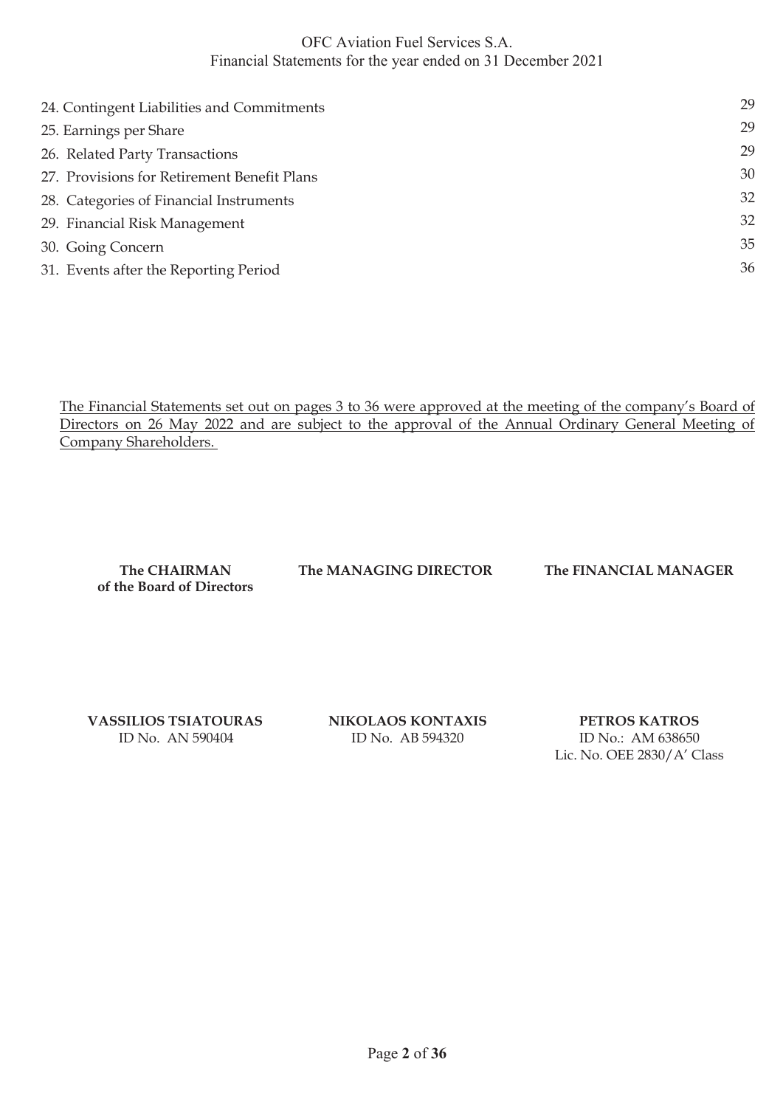| 24. Contingent Liabilities and Commitments  | 29 |
|---------------------------------------------|----|
| 25. Earnings per Share                      | 29 |
| 26. Related Party Transactions              | 29 |
| 27. Provisions for Retirement Benefit Plans | 30 |
| 28. Categories of Financial Instruments     | 32 |
| 29. Financial Risk Management               | 32 |
| 30. Going Concern                           | 35 |
| 31. Events after the Reporting Period       | 36 |
|                                             |    |

The Financial Statements set out on pages 3 to 36 were approved at the meeting of the company's Board of Directors on 26 May 2022 and are subject to the approval of the Annual Ordinary General Meeting of Company Shareholders.

**of the Board of Directors**

**The CHAIRMAN The MANAGING DIRECTOR The FINANCIAL MANAGER**

 **VASSILIOS TSIATOURAS NIKOLAOS KONTAXIS PETROS KATROS** 

ID No. ΑΝ 590404 ID No. ΑΒ 594320 ID No.: ΑΜ 638650

Lic. No. OEE 2830/A' Class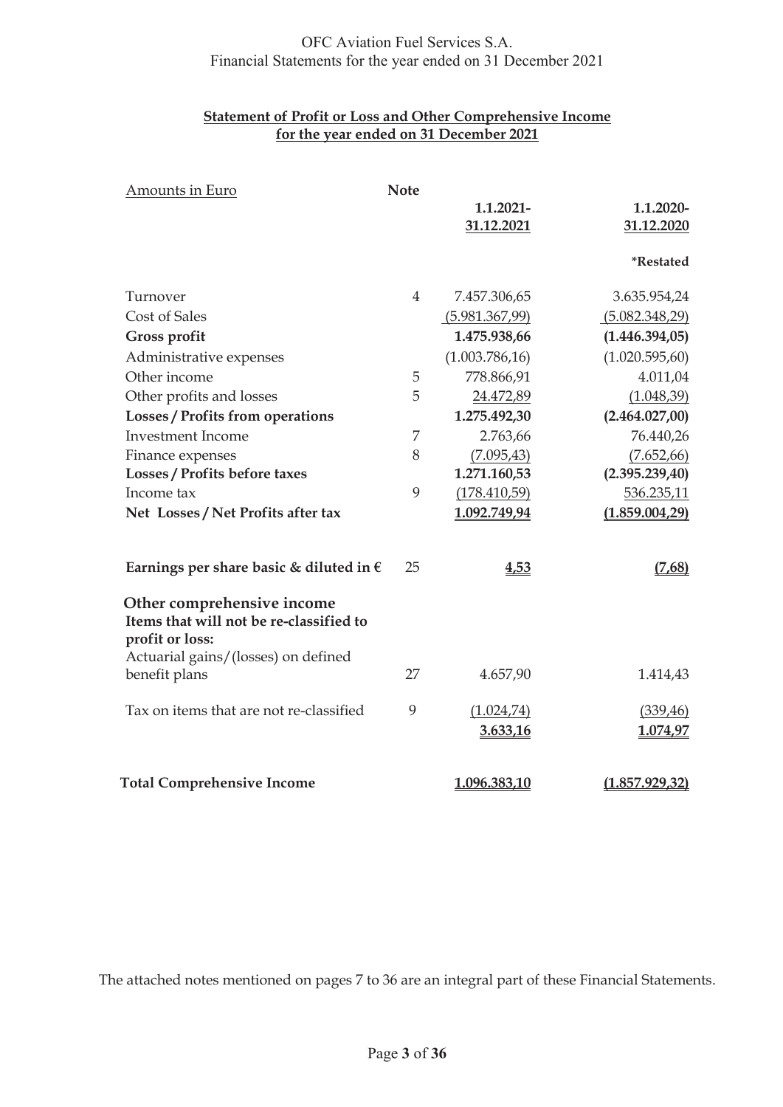### **Statement of Profit or Loss and Other Comprehensive Income for the year ended on 31 December 2021**

| Amounts in Euro                                                                          | <b>Note</b> |                 |                 |
|------------------------------------------------------------------------------------------|-------------|-----------------|-----------------|
|                                                                                          |             | 1.1.2021-       | 1.1.2020-       |
|                                                                                          |             | 31.12.2021      | 31.12.2020      |
|                                                                                          |             |                 | *Restated       |
|                                                                                          |             |                 |                 |
| Turnover                                                                                 | 4           | 7.457.306,65    | 3.635.954,24    |
| <b>Cost of Sales</b>                                                                     |             | (5.981.367,99)  | (5.082.348,29)  |
| <b>Gross profit</b>                                                                      |             | 1.475.938,66    | (1.446.394,05)  |
| Administrative expenses                                                                  |             | (1.003.786, 16) | (1.020.595, 60) |
| Other income                                                                             | 5           | 778.866,91      | 4.011,04        |
| Other profits and losses                                                                 | 5           | 24.472,89       | (1.048, 39)     |
| Losses / Profits from operations                                                         |             | 1.275.492,30    | (2.464.027,00)  |
| <b>Investment Income</b>                                                                 | 7           | 2.763,66        | 76.440,26       |
| Finance expenses                                                                         | 8           | (7.095, 43)     | (7.652, 66)     |
| Losses / Profits before taxes                                                            |             | 1.271.160,53    | (2.395.239,40)  |
| Income tax                                                                               | 9           | (178.410,59)    | 536.235,11      |
| Net Losses / Net Profits after tax                                                       |             | 1.092.749,94    | (1.859.004,29)  |
|                                                                                          |             |                 |                 |
| Earnings per share basic & diluted in $\epsilon$                                         | 25          | 4,53            | (7,68)          |
| Other comprehensive income<br>Items that will not be re-classified to<br>profit or loss: |             |                 |                 |
| Actuarial gains/(losses) on defined<br>benefit plans                                     | 27          | 4.657,90        | 1.414,43        |
| Tax on items that are not re-classified                                                  | 9           | (1.024, 74)     | (339, 46)       |
|                                                                                          |             | 3.633,16        | 1.074,97        |
|                                                                                          |             |                 |                 |
| <b>Total Comprehensive Income</b>                                                        |             | 1.096.383,10    | (1.857.929.32)  |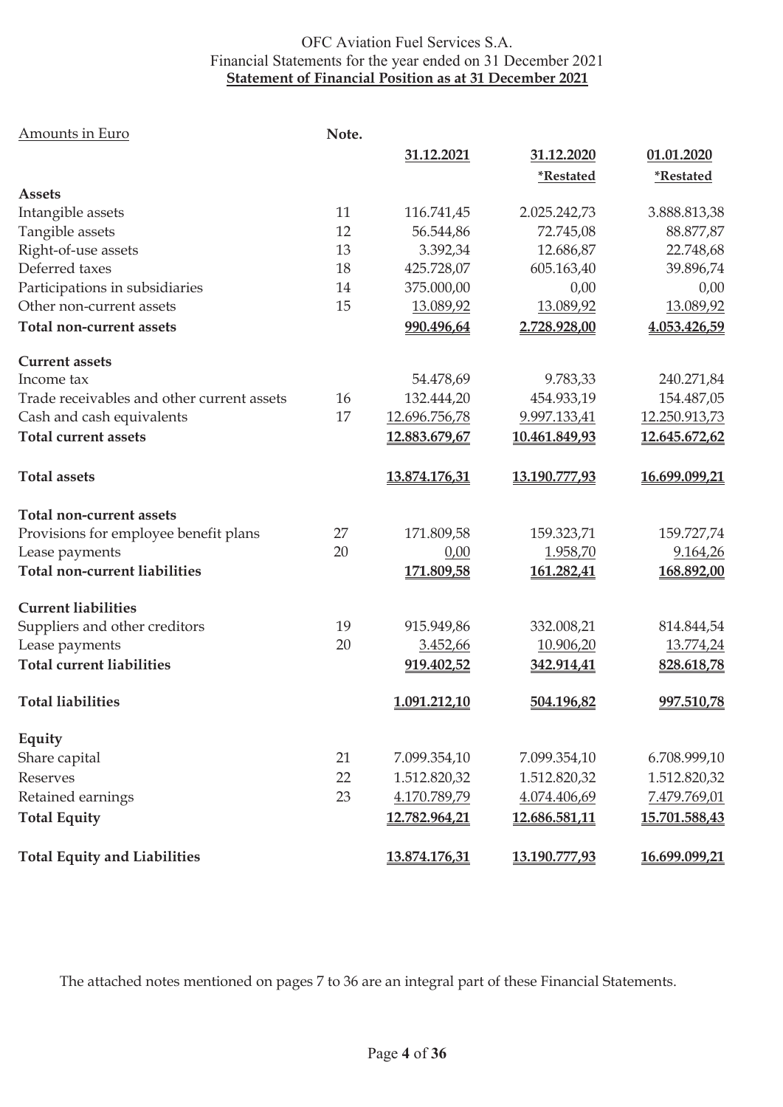### OFC Aviation Fuel Services S.A. Financial Statements for the year ended on 31 December 2021 **Statement of Financial Position as at 31 December 2021**

| Amounts in Euro                            | Note. |               |                         |                         |
|--------------------------------------------|-------|---------------|-------------------------|-------------------------|
|                                            |       | 31.12.2021    | 31.12.2020              | 01.01.2020              |
|                                            |       |               | <i><b>*Restated</b></i> | <i><b>*Restated</b></i> |
| <b>Assets</b>                              |       |               |                         |                         |
| Intangible assets                          | 11    | 116.741,45    | 2.025.242,73            | 3.888.813,38            |
| Tangible assets                            | 12    | 56.544,86     | 72.745,08               | 88.877,87               |
| Right-of-use assets                        | 13    | 3.392,34      | 12.686,87               | 22.748,68               |
| Deferred taxes                             | 18    | 425.728,07    | 605.163,40              | 39.896,74               |
| Participations in subsidiaries             | 14    | 375.000,00    | 0,00                    | 0,00                    |
| Other non-current assets                   | 15    | 13.089,92     | 13.089,92               | 13.089,92               |
| Total non-current assets                   |       | 990.496,64    | 2.728.928,00            | 4.053.426,59            |
| <b>Current assets</b>                      |       |               |                         |                         |
| Income tax                                 |       | 54.478,69     | 9.783,33                | 240.271,84              |
| Trade receivables and other current assets | 16    | 132.444,20    | 454.933,19              | 154.487,05              |
| Cash and cash equivalents                  | 17    | 12.696.756,78 | 9.997.133,41            | 12.250.913,73           |
| <b>Total current assets</b>                |       | 12.883.679,67 | 10.461.849,93           | 12.645.672,62           |
| <b>Total assets</b>                        |       | 13.874.176,31 | 13.190.777,93           | 16.699.099,21           |
| Total non-current assets                   |       |               |                         |                         |
| Provisions for employee benefit plans      | 27    | 171.809,58    | 159.323,71              | 159.727,74              |
| Lease payments                             | 20    | 0,00          | 1.958,70                | 9.164,26                |
| <b>Total non-current liabilities</b>       |       | 171.809,58    | 161.282,41              | 168.892,00              |
| <b>Current liabilities</b>                 |       |               |                         |                         |
| Suppliers and other creditors              | 19    | 915.949,86    | 332.008,21              | 814.844,54              |
| Lease payments                             | 20    | 3.452,66      | 10.906,20               | 13.774,24               |
| <b>Total current liabilities</b>           |       | 919.402,52    | 342.914,41              | 828.618,78              |
| <b>Total liabilities</b>                   |       | 1.091.212,10  | 504.196,82              | 997.510,78              |
| Equity                                     |       |               |                         |                         |
| Share capital                              | 21    | 7.099.354,10  | 7.099.354,10            | 6.708.999,10            |
| Reserves                                   | 22    | 1.512.820,32  | 1.512.820,32            | 1.512.820,32            |
| Retained earnings                          | 23    | 4.170.789,79  | 4.074.406,69            | 7.479.769,01            |
| <b>Total Equity</b>                        |       | 12.782.964,21 | 12.686.581,11           | 15.701.588,43           |
| <b>Total Equity and Liabilities</b>        |       | 13.874.176,31 | 13.190.777,93           | 16.699.099,21           |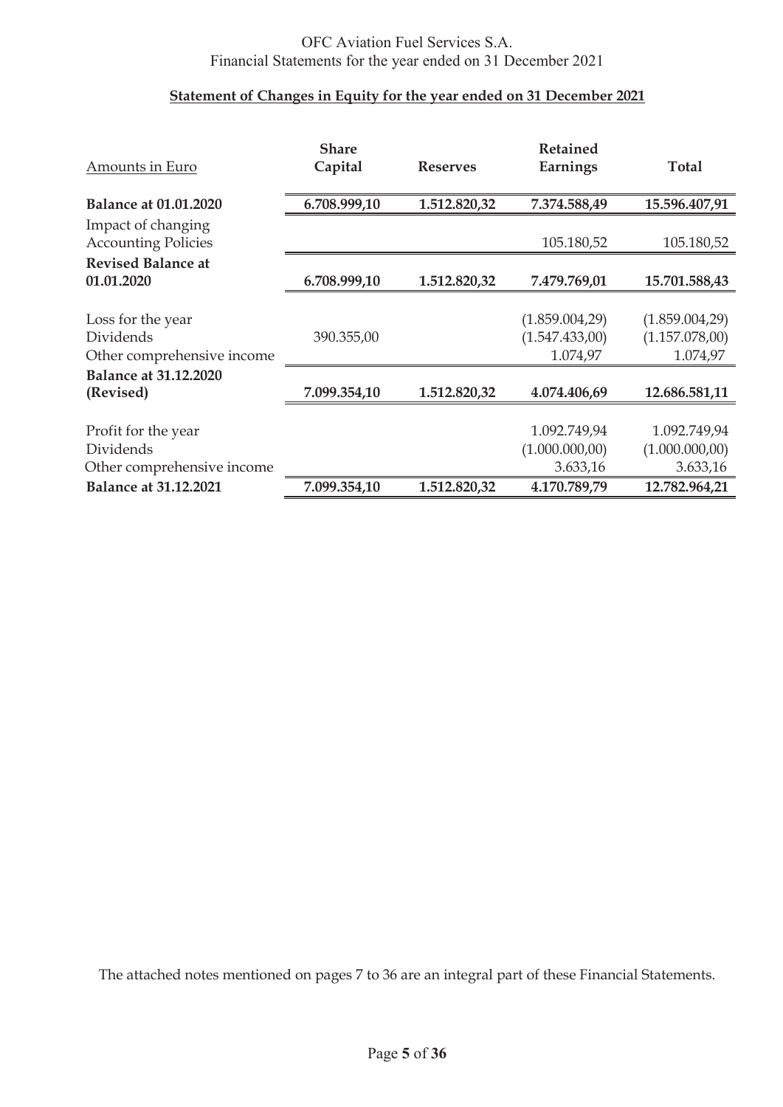## **Statement of Changes in Equity for the year ended on 31 December 2021**

|                              | <b>Share</b> |                 | Retained        |                 |
|------------------------------|--------------|-----------------|-----------------|-----------------|
| Amounts in Euro              | Capital      | <b>Reserves</b> | Earnings        | <b>Total</b>    |
|                              |              |                 |                 |                 |
| <b>Balance at 01.01.2020</b> | 6.708.999,10 | 1.512.820,32    | 7.374.588,49    | 15.596.407,91   |
| Impact of changing           |              |                 |                 |                 |
| <b>Accounting Policies</b>   |              |                 | 105.180,52      | 105.180,52      |
| <b>Revised Balance at</b>    |              |                 |                 |                 |
| 01.01.2020                   | 6.708.999,10 | 1.512.820,32    | 7.479.769,01    | 15.701.588,43   |
|                              |              |                 |                 |                 |
| Loss for the year            |              |                 | (1.859.004, 29) | (1.859.004,29)  |
| Dividends                    | 390.355,00   |                 | (1.547.433,00)  | (1.157.078,00)  |
| Other comprehensive income   |              |                 | 1.074,97        | 1.074,97        |
| <b>Balance at 31.12.2020</b> |              |                 |                 |                 |
| (Revised)                    | 7.099.354,10 | 1.512.820,32    | 4.074.406,69    | 12.686.581,11   |
|                              |              |                 |                 |                 |
| Profit for the year          |              |                 | 1.092.749,94    | 1.092.749,94    |
| Dividends                    |              |                 | (1.000.000, 00) | (1.000.000, 00) |
| Other comprehensive income   |              |                 | 3.633,16        | 3.633,16        |
| <b>Balance at 31.12.2021</b> | 7.099.354,10 | 1.512.820,32    | 4.170.789,79    | 12.782.964,21   |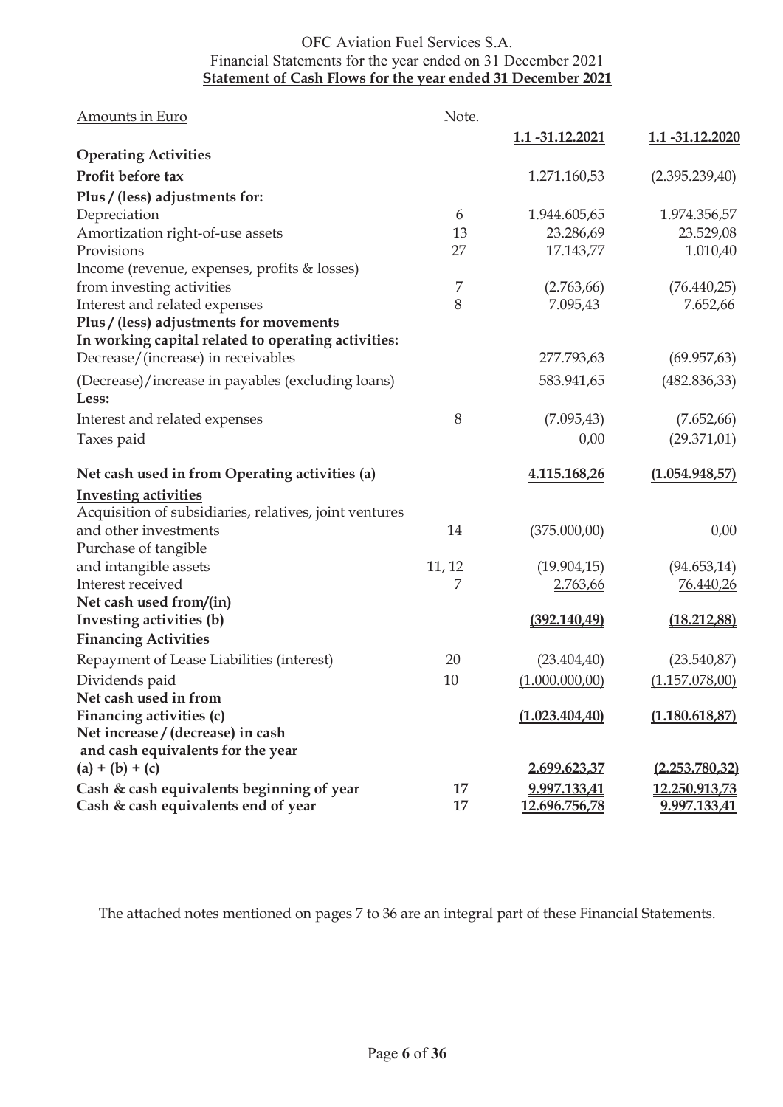## OFC Aviation Fuel Services S.A. Financial Statements for the year ended on 31 December 2021 **Statement of Cash Flows for the year ended 31 December 2021**

| Amounts in Euro                                                                  | Note.    |                               |                               |
|----------------------------------------------------------------------------------|----------|-------------------------------|-------------------------------|
|                                                                                  |          | 1.1 -31.12.2021               | <u>1.1 -31.12.2020</u>        |
| <b>Operating Activities</b>                                                      |          |                               |                               |
| Profit before tax                                                                |          | 1.271.160,53                  | (2.395.239,40)                |
| Plus / (less) adjustments for:                                                   |          |                               |                               |
| Depreciation                                                                     | 6        | 1.944.605,65                  | 1.974.356,57                  |
| Amortization right-of-use assets                                                 | 13       | 23.286,69                     | 23.529,08                     |
| Provisions                                                                       | 27       | 17.143,77                     | 1.010,40                      |
| Income (revenue, expenses, profits & losses)                                     |          |                               |                               |
| from investing activities                                                        | 7        | (2.763, 66)                   | (76.440,25)                   |
| Interest and related expenses                                                    | 8        | 7.095,43                      | 7.652,66                      |
| Plus / (less) adjustments for movements                                          |          |                               |                               |
| In working capital related to operating activities:                              |          |                               |                               |
| Decrease/(increase) in receivables                                               |          | 277.793,63                    | (69.957, 63)                  |
| (Decrease)/increase in payables (excluding loans)                                |          | 583.941,65                    | (482.836,33)                  |
| Less:                                                                            |          |                               |                               |
| Interest and related expenses                                                    | 8        | (7.095, 43)                   | (7.652, 66)                   |
| Taxes paid                                                                       |          | 0,00                          | (29.371, 01)                  |
|                                                                                  |          |                               |                               |
|                                                                                  |          |                               |                               |
| Net cash used in from Operating activities (a)                                   |          | 4.115.168,26                  | (1.054.948.57)                |
| <b>Investing activities</b>                                                      |          |                               |                               |
| Acquisition of subsidiaries, relatives, joint ventures                           |          |                               |                               |
| and other investments                                                            | 14       | (375.000,00)                  | 0,00                          |
| Purchase of tangible                                                             |          |                               |                               |
| and intangible assets                                                            | 11, 12   | (19.904, 15)                  | (94.653, 14)                  |
| Interest received                                                                | 7        | 2.763,66                      | 76.440,26                     |
| Net cash used from/(in)                                                          |          |                               |                               |
| Investing activities (b)                                                         |          | (392.140, 49)                 | (18.212, 88)                  |
| <b>Financing Activities</b>                                                      |          |                               |                               |
| Repayment of Lease Liabilities (interest)                                        | 20       | (23.404, 40)                  | (23.540, 87)                  |
| Dividends paid                                                                   | 10       | (1.000.000, 00)               | (1.157.078,00)                |
| Net cash used in from                                                            |          |                               |                               |
| Financing activities (c)                                                         |          | (1.023.404, 40)               | (1.180.618, 87)               |
| Net increase / (decrease) in cash                                                |          |                               |                               |
| and cash equivalents for the year                                                |          |                               |                               |
| $(a) + (b) + (c)$                                                                |          | 2.699.623,37                  | (2.253.780, 32)               |
| Cash & cash equivalents beginning of year<br>Cash & cash equivalents end of year | 17<br>17 | 9.997.133,41<br>12.696.756,78 | 12.250.913,73<br>9.997.133,41 |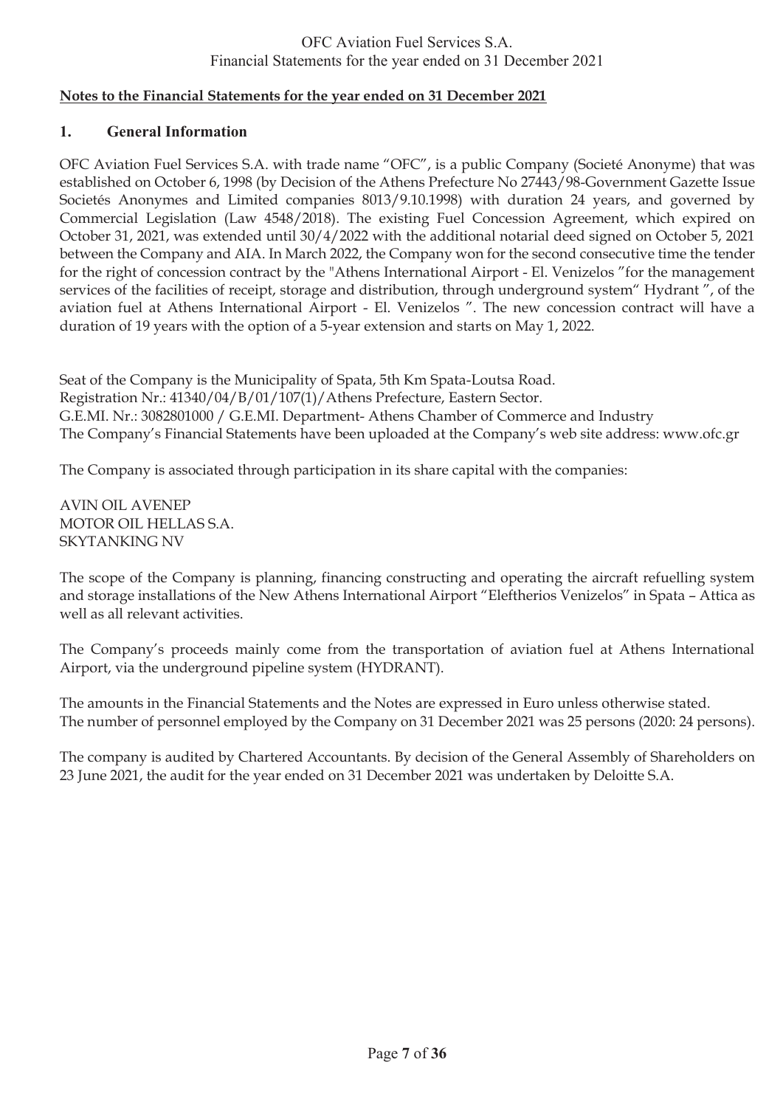### **Notes to the Financial Statements for the year ended on 31 December 2021**

#### **1. General Information**

OFC Aviation Fuel Services S.A. with trade name "OFC", is a public Company (Societé Anonyme) that was established on October 6, 1998 (by Decision of the Athens Prefecture No 27443/98-Government Gazette Issue Societés Anonymes and Limited companies 8013/9.10.1998) with duration 24 years, and governed by Commercial Legislation (Law 4548/2018). The existing Fuel Concession Agreement, which expired on October 31, 2021, was extended until 30/4/2022 with the additional notarial deed signed on October 5, 2021 between the Company and AIA. In March 2022, the Company won for the second consecutive time the tender for the right of concession contract by the "Athens International Airport - El. Venizelos "for the management services of the facilities of receipt, storage and distribution, through underground system" Hydrant ", of the aviation fuel at Athens International Airport - El. Venizelos ". The new concession contract will have a duration of 19 years with the option of a 5-year extension and starts on May 1, 2022.

Seat of the Company is the Municipality of Spata, 5th Km Spata-Loutsa Road. Registration Nr.: 41340/04/Β/01/107(1)/Athens Prefecture, Eastern Sector. G.E.MI. Nr.: 3082801000 / G.E.MI. Department- Athens Chamber of Commerce and Industry The Company's Financial Statements have been uploaded at the Company's web site address: www.ofc.gr

The Company is associated through participation in its share capital with the companies:

AVIN OIL AVENEP MOTOR OIL HELLAS S.A. SKYTANKING NV

The scope of the Company is planning, financing constructing and operating the aircraft refuelling system and storage installations of the New Athens International Airport "Eleftherios Venizelos" in Spata – Attica as well as all relevant activities.

The Company's proceeds mainly come from the transportation of aviation fuel at Athens International Airport, via the underground pipeline system (HYDRANT).

The amounts in the Financial Statements and the Notes are expressed in Euro unless otherwise stated. The number of personnel employed by the Company on 31 December 2021 was 25 persons (2020: 24 persons).

The company is audited by Chartered Accountants. By decision of the General Assembly of Shareholders on 23 June 2021, the audit for the year ended on 31 December 2021 was undertaken by Deloitte S.A.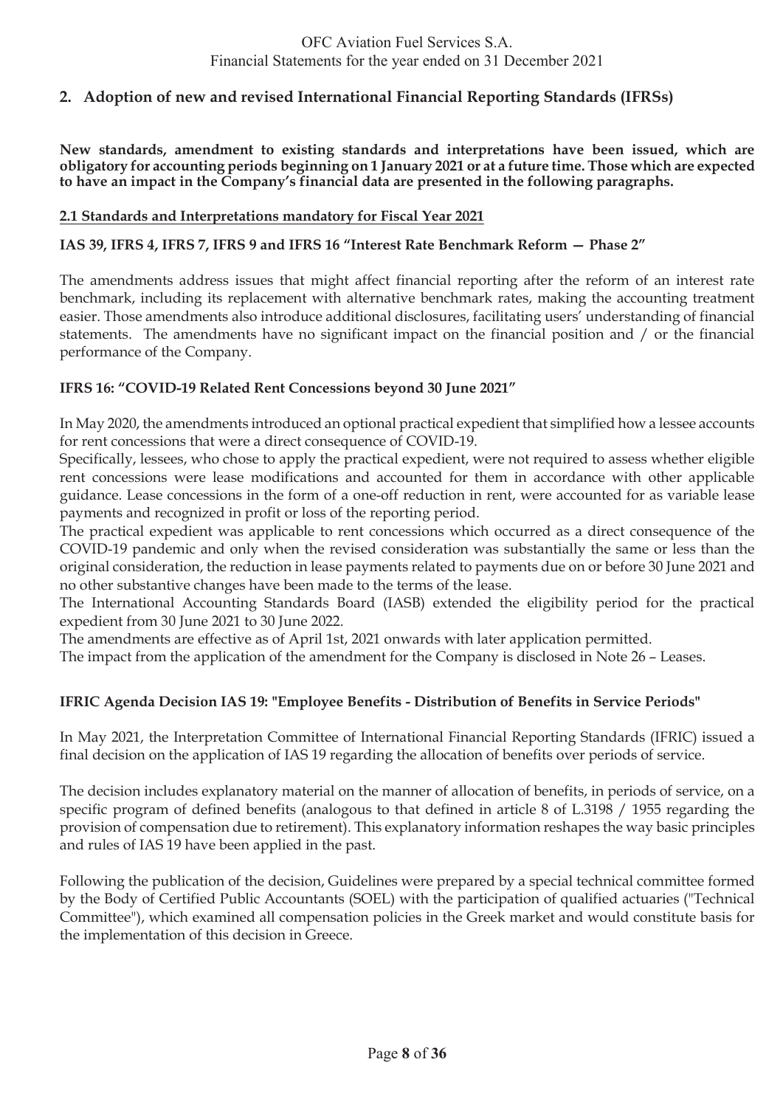## **2. Adoption of new and revised International Financial Reporting Standards (IFRSs)**

**New standards, amendment to existing standards and interpretations have been issued, which are obligatory for accounting periods beginning on 1 January 2021 or at a future time. Those which are expected to have an impact in the Company's financial data are presented in the following paragraphs.** 

#### **2.1 Standards and Interpretations mandatory for Fiscal Year 2021**

### **IAS 39, IFRS 4, IFRS 7, IFRS 9 and IFRS 16 "Interest Rate Benchmark Reform — Phase 2"**

The amendments address issues that might affect financial reporting after the reform of an interest rate benchmark, including its replacement with alternative benchmark rates, making the accounting treatment easier. Those amendments also introduce additional disclosures, facilitating users' understanding of financial statements. The amendments have no significant impact on the financial position and / or the financial performance of the Company.

### **IFRS 16: "COVID-19 Related Rent Concessions beyond 30 June 2021"**

In May 2020, the amendments introduced an optional practical expedient that simplified how a lessee accounts for rent concessions that were a direct consequence of COVID-19.

Specifically, lessees, who chose to apply the practical expedient, were not required to assess whether eligible rent concessions were lease modifications and accounted for them in accordance with other applicable guidance. Lease concessions in the form of a one-off reduction in rent, were accounted for as variable lease payments and recognized in profit or loss of the reporting period.

The practical expedient was applicable to rent concessions which occurred as a direct consequence of the COVID-19 pandemic and only when the revised consideration was substantially the same or less than the original consideration, the reduction in lease payments related to payments due on or before 30 June 2021 and no other substantive changes have been made to the terms of the lease.

The International Accounting Standards Board (IASB) extended the eligibility period for the practical expedient from 30 June 2021 to 30 June 2022.

The amendments are effective as of April 1st, 2021 onwards with later application permitted.

The impact from the application of the amendment for the Company is disclosed in Note 26 – Leases.

### **IFRIC Agenda Decision IAS 19: "Employee Benefits - Distribution of Benefits in Service Periods"**

In May 2021, the Interpretation Committee of International Financial Reporting Standards (IFRIC) issued a final decision on the application of IAS 19 regarding the allocation of benefits over periods of service.

The decision includes explanatory material on the manner of allocation of benefits, in periods of service, on a specific program of defined benefits (analogous to that defined in article 8 of L.3198 / 1955 regarding the provision of compensation due to retirement). This explanatory information reshapes the way basic principles and rules of IAS 19 have been applied in the past.

Following the publication of the decision, Guidelines were prepared by a special technical committee formed by the Body of Certified Public Accountants (SOEL) with the participation of qualified actuaries ("Technical Committee"), which examined all compensation policies in the Greek market and would constitute basis for the implementation of this decision in Greece.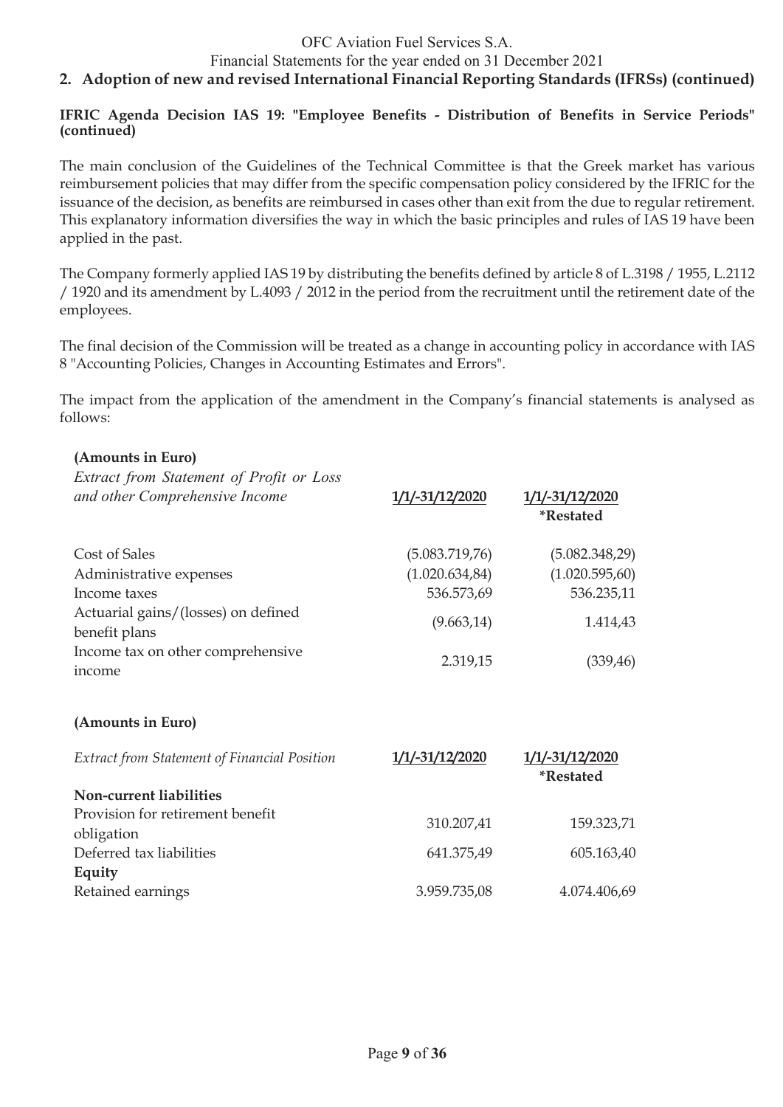Financial Statements for the year ended on 31 December 2021

## **2. Adoption of new and revised International Financial Reporting Standards (IFRSs) (continued)**

**IFRIC Agenda Decision IAS 19: "Employee Benefits - Distribution of Benefits in Service Periods" (continued)**

The main conclusion of the Guidelines of the Technical Committee is that the Greek market has various reimbursement policies that may differ from the specific compensation policy considered by the IFRIC for the issuance of the decision, as benefits are reimbursed in cases other than exit from the due to regular retirement. This explanatory information diversifies the way in which the basic principles and rules of IAS 19 have been applied in the past.

The Company formerly applied IAS 19 by distributing the benefits defined by article 8 of L.3198 / 1955, L.2112 / 1920 and its amendment by L.4093 / 2012 in the period from the recruitment until the retirement date of the employees.

The final decision of the Commission will be treated as a change in accounting policy in accordance with IAS 8 "Accounting Policies, Changes in Accounting Estimates and Errors".

The impact from the application of the amendment in the Company's financial statements is analysed as follows:

**\*Restated**

#### **(Amounts in Euro)**

*Extract from Statement of Profit or Loss and other Comprehensive Income* **1/1/-31/12/2020 1/1/-31/12/2020**

| Cost of Sales                                        | (5.083.719.76)  | (5.082.348,29)  |
|------------------------------------------------------|-----------------|-----------------|
| Administrative expenses                              | (1.020.634, 84) | (1.020.595, 60) |
| Income taxes                                         | 536.573,69      | 536.235,11      |
| Actuarial gains/(losses) on defined<br>benefit plans | (9.663, 14)     | 1.414,43        |
| Income tax on other comprehensive<br>income          | 2.319,15        | (339, 46)       |

#### **(Amounts in Euro)**

| Extract from Statement of Financial Position   | 1/1/-31/12/2020 | 1/1/-31/12/2020<br><i><b>*Restated</b></i> |
|------------------------------------------------|-----------------|--------------------------------------------|
| Non-current liabilities                        |                 |                                            |
| Provision for retirement benefit<br>obligation | 310.207,41      | 159.323,71                                 |
| Deferred tax liabilities                       | 641.375,49      | 605.163,40                                 |
| Equity<br>Retained earnings                    | 3.959.735,08    | 4.074.406,69                               |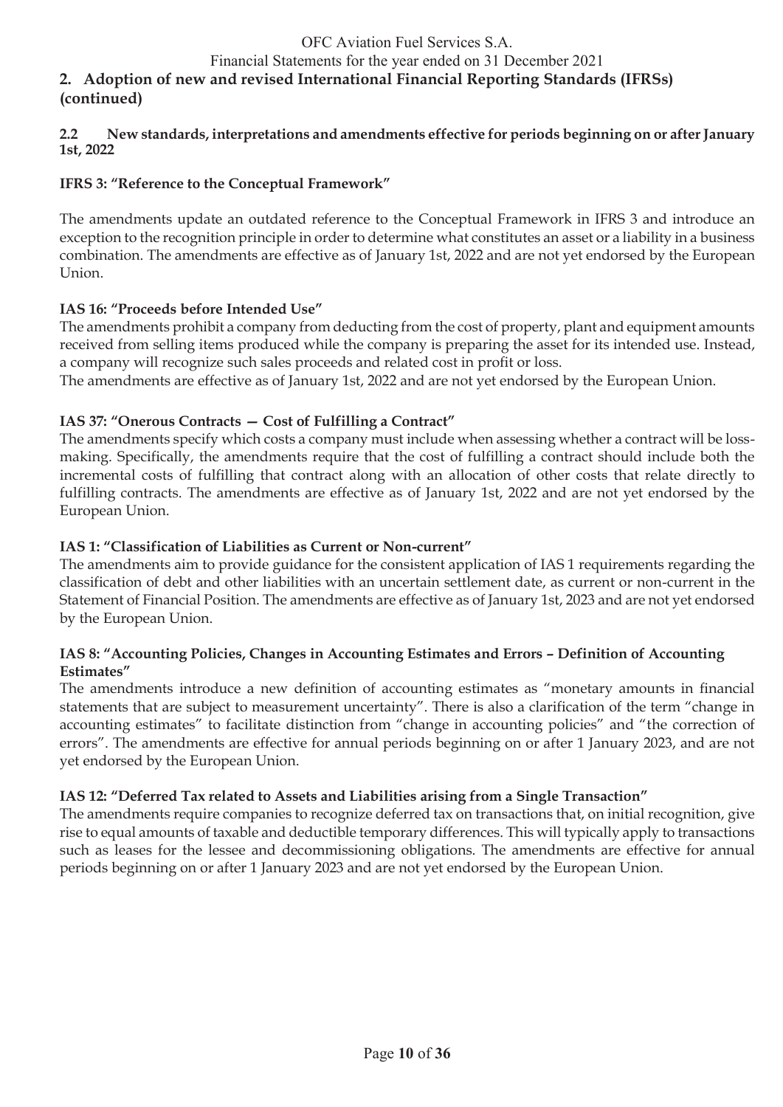### Financial Statements for the year ended on 31 December 2021

## **2. Adoption of new and revised International Financial Reporting Standards (IFRSs) (continued)**

### **2.2 New standards, interpretations and amendments effective for periods beginning on or after January 1st, 2022**

## **IFRS 3: "Reference to the Conceptual Framework"**

The amendments update an outdated reference to the Conceptual Framework in IFRS 3 and introduce an exception to the recognition principle in order to determine what constitutes an asset or a liability in a business combination. The amendments are effective as of January 1st, 2022 and are not yet endorsed by the European Union.

### **IAS 16: "Proceeds before Intended Use"**

The amendments prohibit a company from deducting from the cost of property, plant and equipment amounts received from selling items produced while the company is preparing the asset for its intended use. Instead, a company will recognize such sales proceeds and related cost in profit or loss.

The amendments are effective as of January 1st, 2022 and are not yet endorsed by the European Union.

### **IAS 37: "Onerous Contracts — Cost of Fulfilling a Contract"**

The amendments specify which costs a company must include when assessing whether a contract will be lossmaking. Specifically, the amendments require that the cost of fulfilling a contract should include both the incremental costs of fulfilling that contract along with an allocation of other costs that relate directly to fulfilling contracts. The amendments are effective as of January 1st, 2022 and are not yet endorsed by the European Union.

### **IAS 1: "Classification of Liabilities as Current or Non-current"**

The amendments aim to provide guidance for the consistent application of IAS 1 requirements regarding the classification of debt and other liabilities with an uncertain settlement date, as current or non-current in the Statement of Financial Position. The amendments are effective as of January 1st, 2023 and are not yet endorsed by the European Union.

#### **IAS 8: "Accounting Policies, Changes in Accounting Estimates and Errors – Definition of Accounting Estimates"**

The amendments introduce a new definition of accounting estimates as "monetary amounts in financial statements that are subject to measurement uncertainty". There is also a clarification of the term "change in accounting estimates" to facilitate distinction from "change in accounting policies" and "the correction of errors". The amendments are effective for annual periods beginning on or after 1 January 2023, and are not yet endorsed by the European Union.

### **IAS 12: "Deferred Tax related to Assets and Liabilities arising from a Single Transaction"**

The amendments require companies to recognize deferred tax on transactions that, on initial recognition, give rise to equal amounts of taxable and deductible temporary differences. This will typically apply to transactions such as leases for the lessee and decommissioning obligations. The amendments are effective for annual periods beginning on or after 1 January 2023 and are not yet endorsed by the European Union.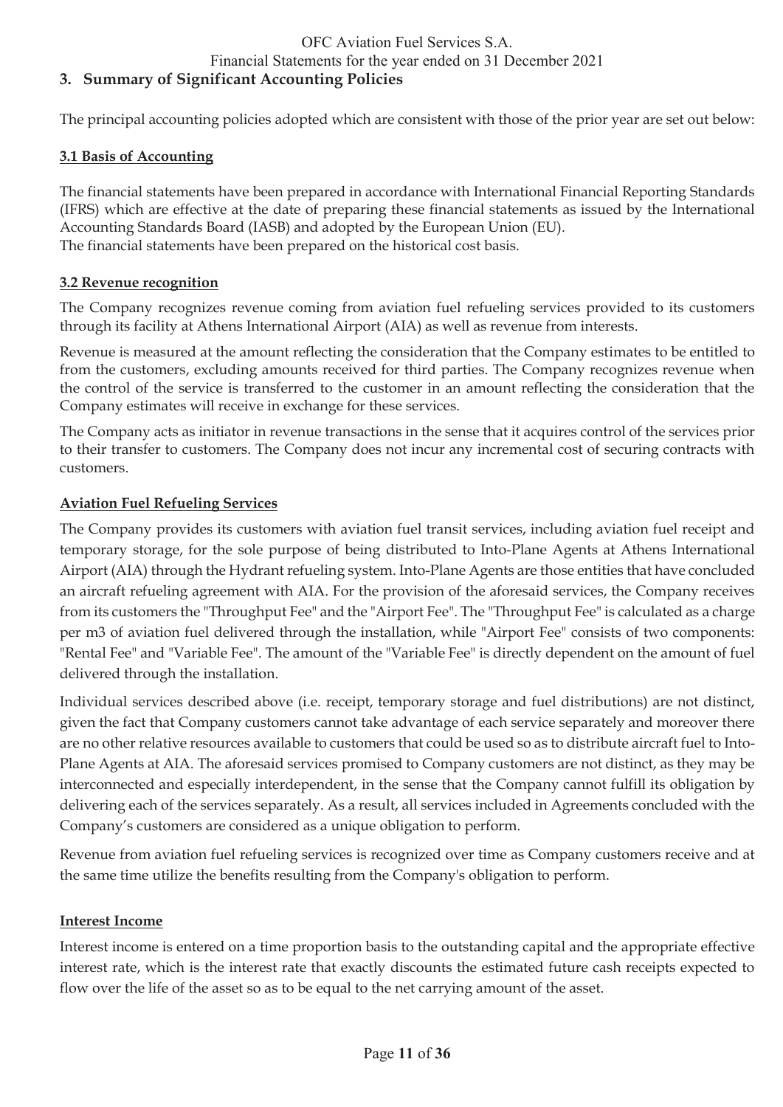### Financial Statements for the year ended on 31 December 2021

## **3. Summary of Significant Accounting Policies**

The principal accounting policies adopted which are consistent with those of the prior year are set out below:

### **3.1 Basis of Accounting**

The financial statements have been prepared in accordance with International Financial Reporting Standards (IFRS) which are effective at the date of preparing these financial statements as issued by the International Accounting Standards Board (IASB) and adopted by the European Union (EU). The financial statements have been prepared on the historical cost basis.

#### **3.2 Revenue recognition**

The Company recognizes revenue coming from aviation fuel refueling services provided to its customers through its facility at Athens International Airport (AIA) as well as revenue from interests.

Revenue is measured at the amount reflecting the consideration that the Company estimates to be entitled to from the customers, excluding amounts received for third parties. The Company recognizes revenue when the control of the service is transferred to the customer in an amount reflecting the consideration that the Company estimates will receive in exchange for these services.

The Company acts as initiator in revenue transactions in the sense that it acquires control of the services prior to their transfer to customers. The Company does not incur any incremental cost of securing contracts with customers.

### **Aviation Fuel Refueling Services**

The Company provides its customers with aviation fuel transit services, including aviation fuel receipt and temporary storage, for the sole purpose of being distributed to Into-Plane Agents at Athens International Airport (AIA) through the Hydrant refueling system. Into-Plane Agents are those entities that have concluded an aircraft refueling agreement with AIA. For the provision of the aforesaid services, the Company receives from its customers the "Throughput Fee" and the "Airport Fee". The "Throughput Fee" is calculated as a charge per m3 of aviation fuel delivered through the installation, while "Airport Fee" consists of two components: "Rental Fee" and "Variable Fee". The amount of the "Variable Fee" is directly dependent on the amount of fuel delivered through the installation.

Individual services described above (i.e. receipt, temporary storage and fuel distributions) are not distinct, given the fact that Company customers cannot take advantage of each service separately and moreover there are no other relative resources available to customers that could be used so as to distribute aircraft fuel to Into-Plane Agents at AIA. The aforesaid services promised to Company customers are not distinct, as they may be interconnected and especially interdependent, in the sense that the Company cannot fulfill its obligation by delivering each of the services separately. As a result, all services included in Agreements concluded with the Company's customers are considered as a unique obligation to perform.

Revenue from aviation fuel refueling services is recognized over time as Company customers receive and at the same time utilize the benefits resulting from the Company's obligation to perform.

#### **Interest Income**

Interest income is entered on a time proportion basis to the outstanding capital and the appropriate effective interest rate, which is the interest rate that exactly discounts the estimated future cash receipts expected to flow over the life of the asset so as to be equal to the net carrying amount of the asset.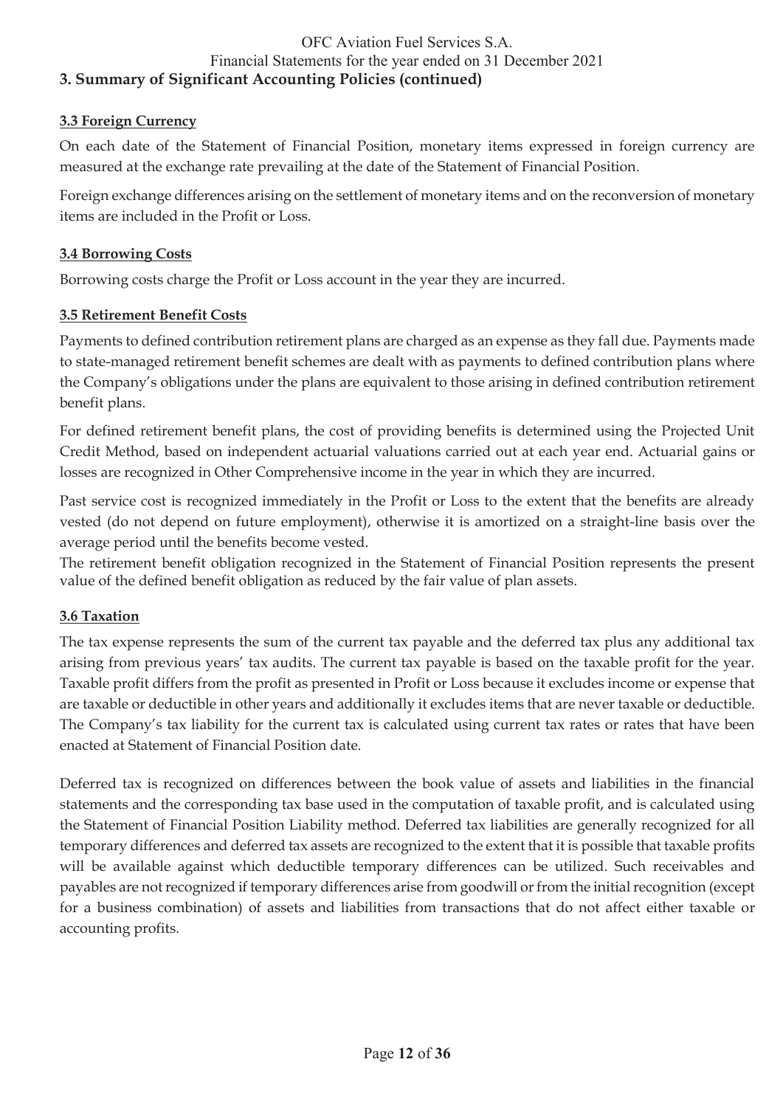### **3.3 Foreign Currency**

On each date of the Statement of Financial Position, monetary items expressed in foreign currency are measured at the exchange rate prevailing at the date of the Statement of Financial Position.

Foreign exchange differences arising on the settlement of monetary items and on the reconversion of monetary items are included in the Profit or Loss.

#### **3.4 Borrowing Costs**

Borrowing costs charge the Profit or Loss account in the year they are incurred.

### **3.5 Retirement Benefit Costs**

Payments to defined contribution retirement plans are charged as an expense as they fall due. Payments made to state-managed retirement benefit schemes are dealt with as payments to defined contribution plans where the Company's obligations under the plans are equivalent to those arising in defined contribution retirement benefit plans.

For defined retirement benefit plans, the cost of providing benefits is determined using the Projected Unit Credit Method, based on independent actuarial valuations carried out at each year end. Actuarial gains or losses are recognized in Other Comprehensive income in the year in which they are incurred.

Past service cost is recognized immediately in the Profit or Loss to the extent that the benefits are already vested (do not depend on future employment), otherwise it is amortized on a straight-line basis over the average period until the benefits become vested.

The retirement benefit obligation recognized in the Statement of Financial Position represents the present value of the defined benefit obligation as reduced by the fair value of plan assets.

#### **3.6 Taxation**

The tax expense represents the sum of the current tax payable and the deferred tax plus any additional tax arising from previous years' tax audits. The current tax payable is based on the taxable profit for the year. Taxable profit differs from the profit as presented in Profit or Loss because it excludes income or expense that are taxable or deductible in other years and additionally it excludes items that are never taxable or deductible. The Company's tax liability for the current tax is calculated using current tax rates or rates that have been enacted at Statement of Financial Position date.

Deferred tax is recognized on differences between the book value of assets and liabilities in the financial statements and the corresponding tax base used in the computation of taxable profit, and is calculated using the Statement of Financial Position Liability method. Deferred tax liabilities are generally recognized for all temporary differences and deferred tax assets are recognized to the extent that it is possible that taxable profits will be available against which deductible temporary differences can be utilized. Such receivables and payables are not recognized if temporary differences arise from goodwill or from the initial recognition (except for a business combination) of assets and liabilities from transactions that do not affect either taxable or accounting profits.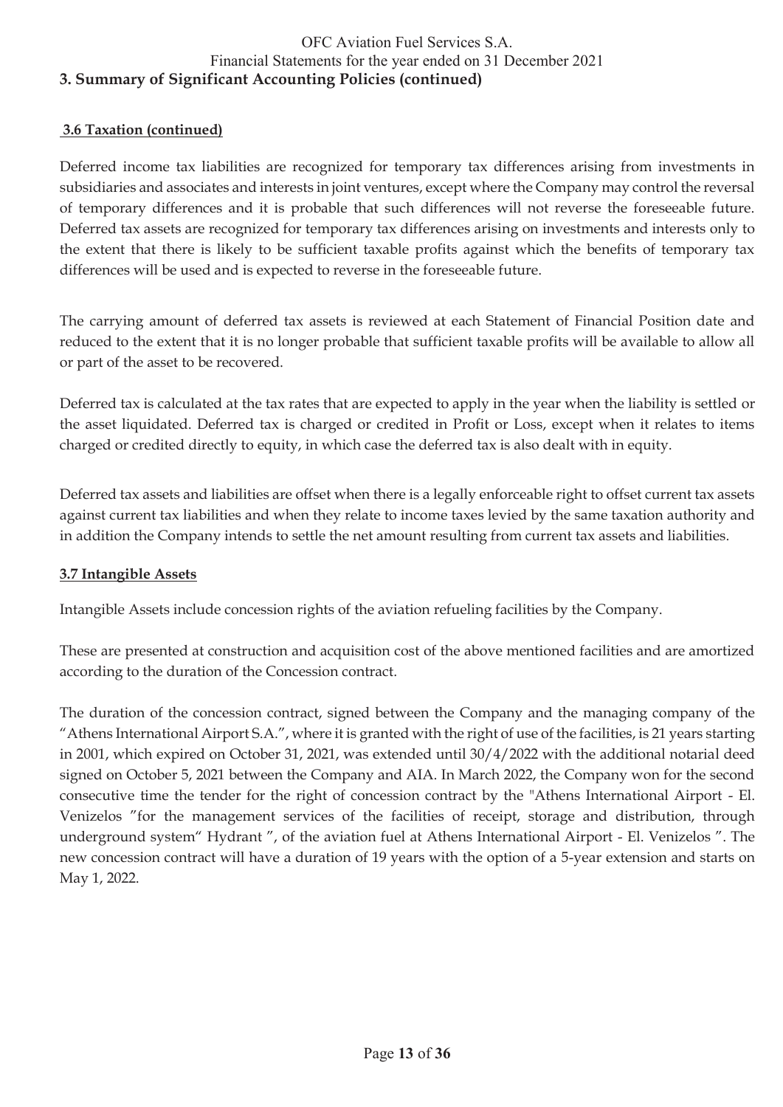### **3.6 Taxation (continued)**

Deferred income tax liabilities are recognized for temporary tax differences arising from investments in subsidiaries and associates and interests in joint ventures, except where the Company may control the reversal of temporary differences and it is probable that such differences will not reverse the foreseeable future. Deferred tax assets are recognized for temporary tax differences arising on investments and interests only to the extent that there is likely to be sufficient taxable profits against which the benefits of temporary tax differences will be used and is expected to reverse in the foreseeable future.

The carrying amount of deferred tax assets is reviewed at each Statement of Financial Position date and reduced to the extent that it is no longer probable that sufficient taxable profits will be available to allow all or part of the asset to be recovered.

Deferred tax is calculated at the tax rates that are expected to apply in the year when the liability is settled or the asset liquidated. Deferred tax is charged or credited in Profit or Loss, except when it relates to items charged or credited directly to equity, in which case the deferred tax is also dealt with in equity.

Deferred tax assets and liabilities are offset when there is a legally enforceable right to offset current tax assets against current tax liabilities and when they relate to income taxes levied by the same taxation authority and in addition the Company intends to settle the net amount resulting from current tax assets and liabilities.

### **3.7 Intangible Assets**

Intangible Assets include concession rights of the aviation refueling facilities by the Company.

These are presented at construction and acquisition cost of the above mentioned facilities and are amortized according to the duration of the Concession contract.

The duration of the concession contract, signed between the Company and the managing company of the "Athens International Airport S.A.", where it is granted with the right of use of the facilities, is 21 years starting in 2001, which expired on October 31, 2021, was extended until 30/4/2022 with the additional notarial deed signed on October 5, 2021 between the Company and AIA. In March 2022, the Company won for the second consecutive time the tender for the right of concession contract by the "Athens International Airport - El. Venizelos "for the management services of the facilities of receipt, storage and distribution, through underground system" Hydrant ", of the aviation fuel at Athens International Airport - El. Venizelos ". The new concession contract will have a duration of 19 years with the option of a 5-year extension and starts on May 1, 2022.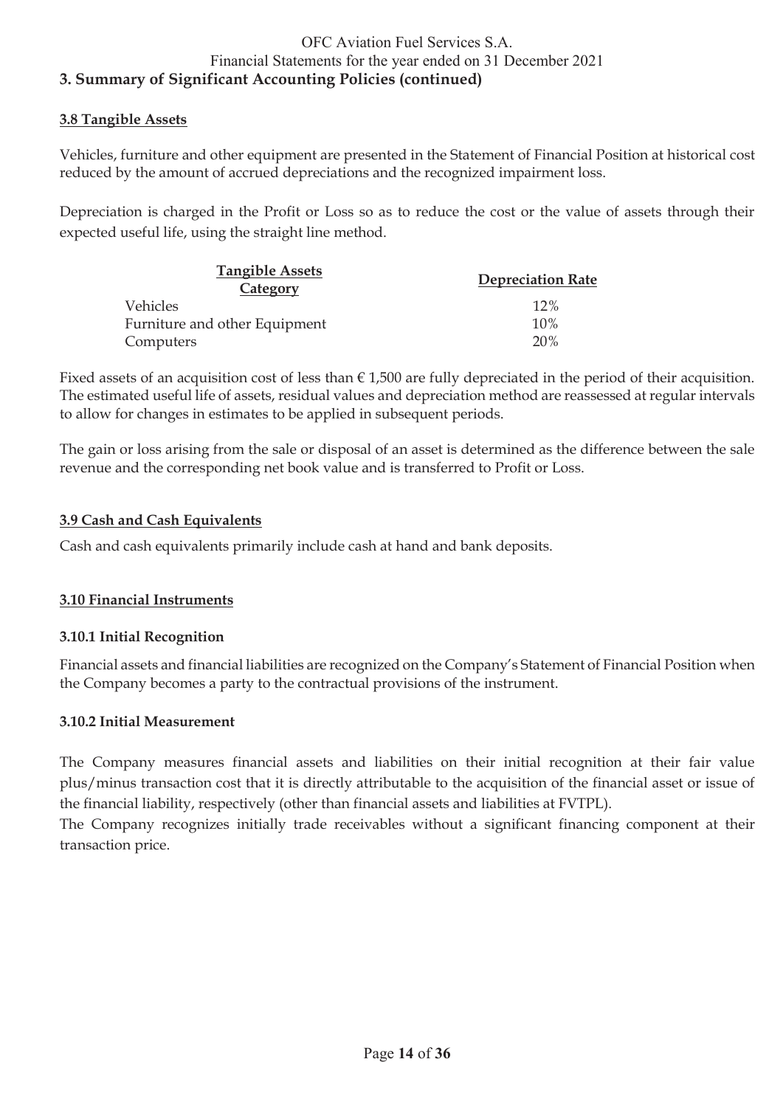### **3.8 Tangible Assets**

Vehicles, furniture and other equipment are presented in the Statement of Financial Position at historical cost reduced by the amount of accrued depreciations and the recognized impairment loss.

Depreciation is charged in the Profit or Loss so as to reduce the cost or the value of assets through their expected useful life, using the straight line method.

| <b>Tangible Assets</b><br><b>Category</b> | <b>Depreciation Rate</b> |
|-------------------------------------------|--------------------------|
| <i>Vehicles</i>                           | 12%                      |
| Furniture and other Equipment             | 10%                      |
| Computers                                 | 20%                      |

Fixed assets of an acquisition cost of less than  $\epsilon$  1,500 are fully depreciated in the period of their acquisition. The estimated useful life of assets, residual values and depreciation method are reassessed at regular intervals to allow for changes in estimates to be applied in subsequent periods.

The gain or loss arising from the sale or disposal of an asset is determined as the difference between the sale revenue and the corresponding net book value and is transferred to Profit or Loss.

### **3.9 Cash and Cash Equivalents**

Cash and cash equivalents primarily include cash at hand and bank deposits.

#### **3.10 Financial Instruments**

#### **3.10.1 Initial Recognition**

Financial assets and financial liabilities are recognized on the Company's Statement of Financial Position when the Company becomes a party to the contractual provisions of the instrument.

#### **3.10.2 Initial Measurement**

The Company measures financial assets and liabilities on their initial recognition at their fair value plus/minus transaction cost that it is directly attributable to the acquisition of the financial asset or issue of the financial liability, respectively (other than financial assets and liabilities at FVTPL).

The Company recognizes initially trade receivables without a significant financing component at their transaction price.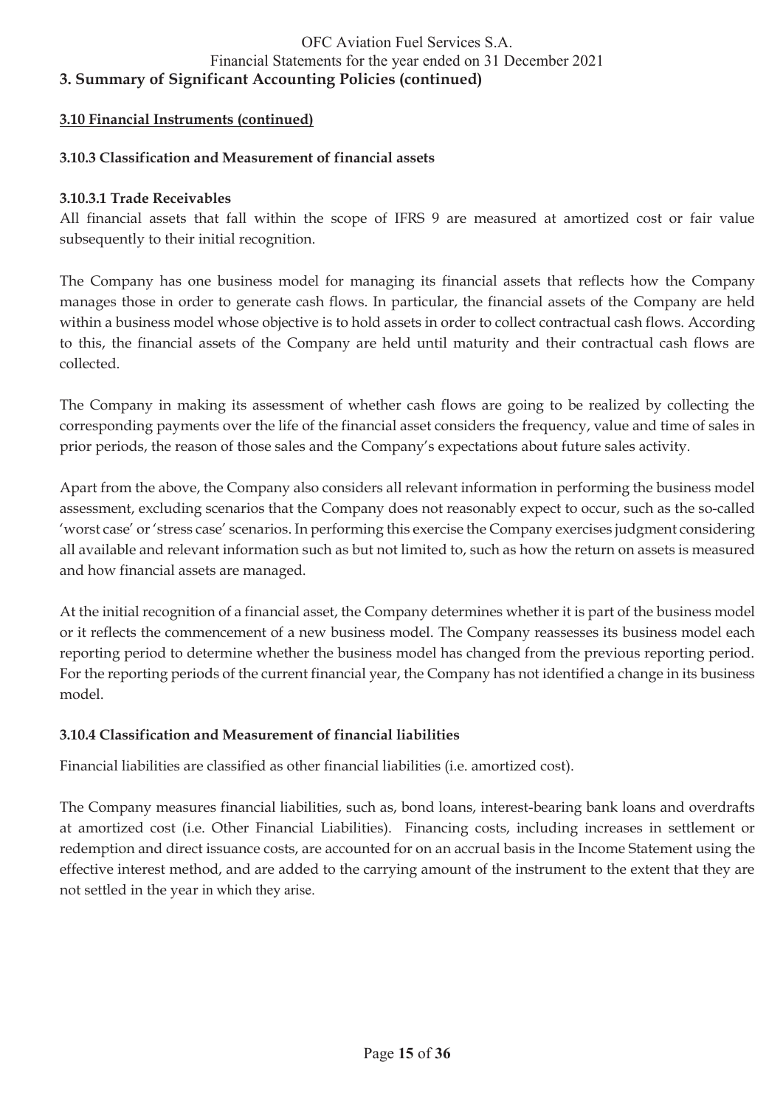### **3.10 Financial Instruments (continued)**

#### **3.10.3 Classification and Measurement of financial assets**

#### **3.10.3.1 Trade Receivables**

All financial assets that fall within the scope of IFRS 9 are measured at amortized cost or fair value subsequently to their initial recognition.

The Company has one business model for managing its financial assets that reflects how the Company manages those in order to generate cash flows. In particular, the financial assets of the Company are held within a business model whose objective is to hold assets in order to collect contractual cash flows. According to this, the financial assets of the Company are held until maturity and their contractual cash flows are collected.

The Company in making its assessment of whether cash flows are going to be realized by collecting the corresponding payments over the life of the financial asset considers the frequency, value and time of sales in prior periods, the reason of those sales and the Company's expectations about future sales activity.

Apart from the above, the Company also considers all relevant information in performing the business model assessment, excluding scenarios that the Company does not reasonably expect to occur, such as the so-called 'worst case' or 'stress case' scenarios. In performing this exercise the Company exercises judgment considering all available and relevant information such as but not limited to, such as how the return on assets is measured and how financial assets are managed.

At the initial recognition of a financial asset, the Company determines whether it is part of the business model or it reflects the commencement of a new business model. The Company reassesses its business model each reporting period to determine whether the business model has changed from the previous reporting period. For the reporting periods of the current financial year, the Company has not identified a change in its business model.

### **3.10.4 Classification and Measurement of financial liabilities**

Financial liabilities are classified as other financial liabilities (i.e. amortized cost).

The Company measures financial liabilities, such as, bond loans, interest-bearing bank loans and overdrafts at amortized cost (i.e. Other Financial Liabilities). Financing costs, including increases in settlement or redemption and direct issuance costs, are accounted for on an accrual basis in the Income Statement using the effective interest method, and are added to the carrying amount of the instrument to the extent that they are not settled in the year in which they arise.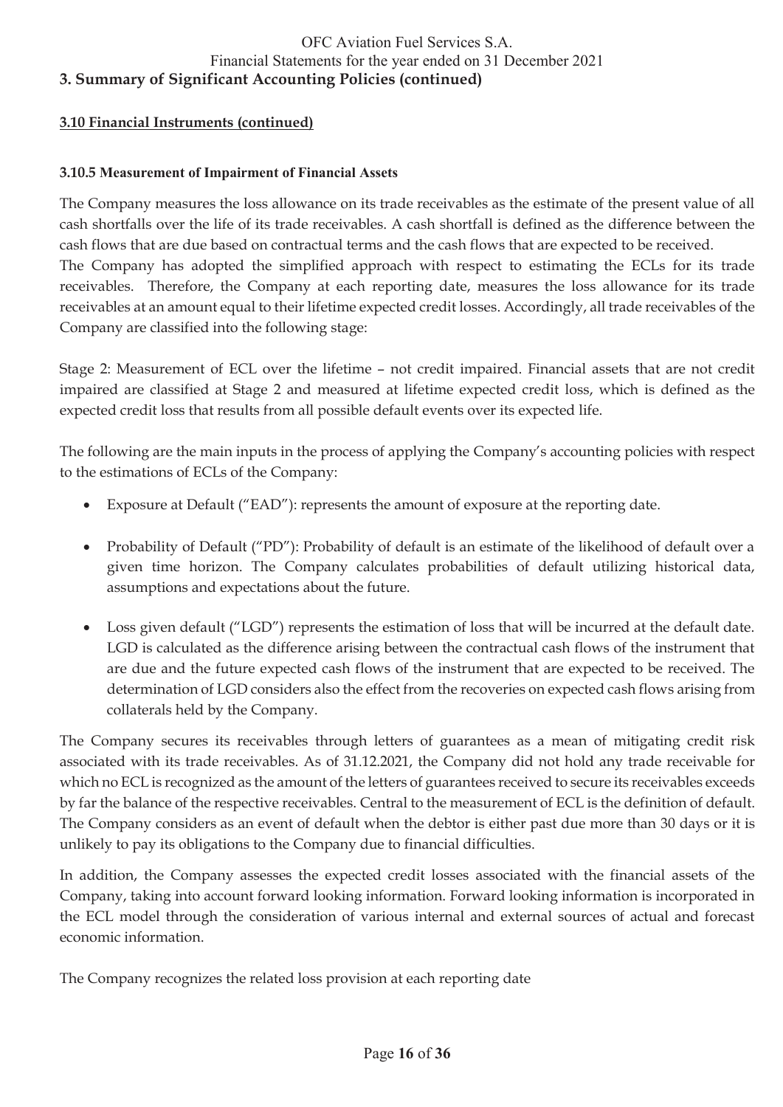### **3.10 Financial Instruments (continued)**

#### **3.10.5 Measurement of Impairment of Financial Assets**

The Company measures the loss allowance on its trade receivables as the estimate of the present value of all cash shortfalls over the life of its trade receivables. A cash shortfall is defined as the difference between the cash flows that are due based on contractual terms and the cash flows that are expected to be received. The Company has adopted the simplified approach with respect to estimating the ECLs for its trade receivables. Therefore, the Company at each reporting date, measures the loss allowance for its trade receivables at an amount equal to their lifetime expected credit losses. Accordingly, all trade receivables of the Company are classified into the following stage:

Stage 2: Measurement of ECL over the lifetime – not credit impaired. Financial assets that are not credit impaired are classified at Stage 2 and measured at lifetime expected credit loss, which is defined as the expected credit loss that results from all possible default events over its expected life.

The following are the main inputs in the process of applying the Company's accounting policies with respect to the estimations of ECLs of the Company:

- Exposure at Default ("EAD"): represents the amount of exposure at the reporting date.
- Probability of Default ("PD"): Probability of default is an estimate of the likelihood of default over a given time horizon. The Company calculates probabilities of default utilizing historical data, assumptions and expectations about the future.
- Loss given default ("LGD") represents the estimation of loss that will be incurred at the default date. LGD is calculated as the difference arising between the contractual cash flows of the instrument that are due and the future expected cash flows of the instrument that are expected to be received. The determination of LGD considers also the effect from the recoveries on expected cash flows arising from collaterals held by the Company.

The Company secures its receivables through letters of guarantees as a mean of mitigating credit risk associated with its trade receivables. As of 31.12.2021, the Company did not hold any trade receivable for which no ECL is recognized as the amount of the letters of guarantees received to secure its receivables exceeds by far the balance of the respective receivables. Central to the measurement of ECL is the definition of default. The Company considers as an event of default when the debtor is either past due more than 30 days or it is unlikely to pay its obligations to the Company due to financial difficulties.

In addition, the Company assesses the expected credit losses associated with the financial assets of the Company, taking into account forward looking information. Forward looking information is incorporated in the ECL model through the consideration of various internal and external sources of actual and forecast economic information.

The Company recognizes the related loss provision at each reporting date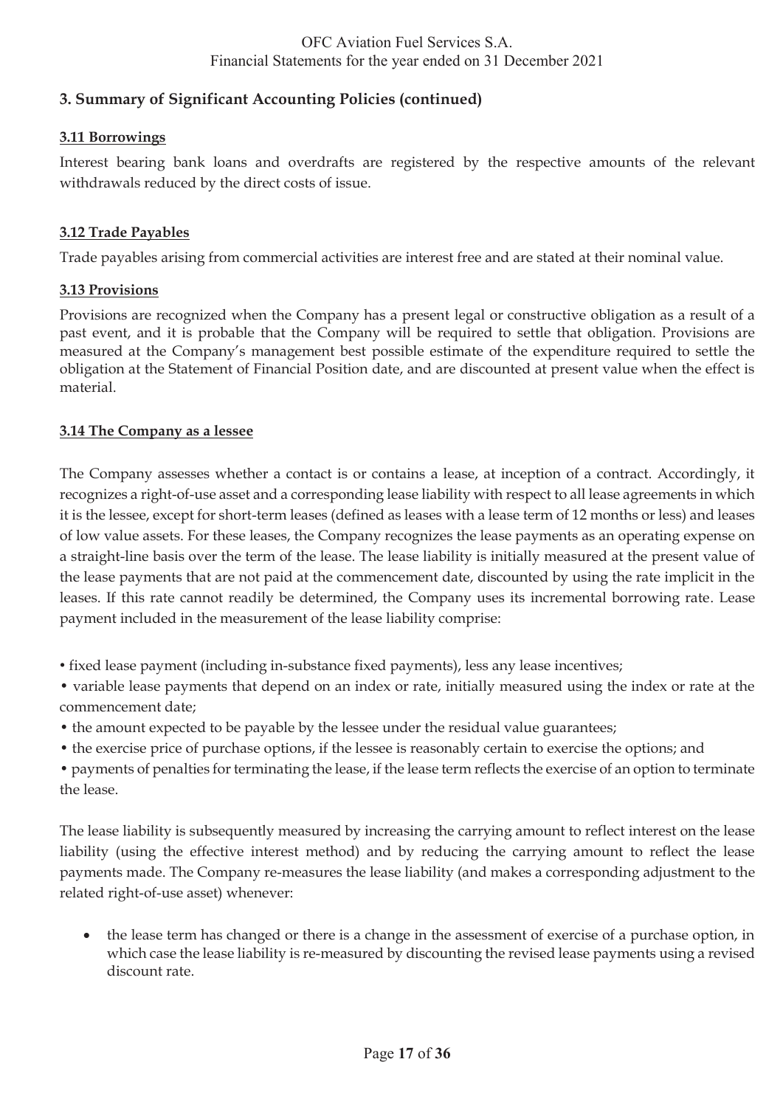## **3. Summary of Significant Accounting Policies (continued)**

## **3.11 Borrowings**

Interest bearing bank loans and overdrafts are registered by the respective amounts of the relevant withdrawals reduced by the direct costs of issue.

### **3.12 Trade Payables**

Trade payables arising from commercial activities are interest free and are stated at their nominal value.

### **3.13 Provisions**

Provisions are recognized when the Company has a present legal or constructive obligation as a result of a past event, and it is probable that the Company will be required to settle that obligation. Provisions are measured at the Company's management best possible estimate of the expenditure required to settle the obligation at the Statement of Financial Position date, and are discounted at present value when the effect is material.

### **3.14 The Company as a lessee**

The Company assesses whether a contact is or contains a lease, at inception of a contract. Accordingly, it recognizes a right-of-use asset and a corresponding lease liability with respect to all lease agreements in which it is the lessee, except for short-term leases (defined as leases with a lease term of 12 months or less) and leases of low value assets. For these leases, the Company recognizes the lease payments as an operating expense on a straight-line basis over the term of the lease. The lease liability is initially measured at the present value of the lease payments that are not paid at the commencement date, discounted by using the rate implicit in the leases. If this rate cannot readily be determined, the Company uses its incremental borrowing rate. Lease payment included in the measurement of the lease liability comprise:

• fixed lease payment (including in-substance fixed payments), less any lease incentives;

• variable lease payments that depend on an index or rate, initially measured using the index or rate at the commencement date;

• the amount expected to be payable by the lessee under the residual value guarantees;

• the exercise price of purchase options, if the lessee is reasonably certain to exercise the options; and

• payments of penalties for terminating the lease, if the lease term reflects the exercise of an option to terminate the lease.

The lease liability is subsequently measured by increasing the carrying amount to reflect interest on the lease liability (using the effective interest method) and by reducing the carrying amount to reflect the lease payments made. The Company re-measures the lease liability (and makes a corresponding adjustment to the related right-of-use asset) whenever:

• the lease term has changed or there is a change in the assessment of exercise of a purchase option, in which case the lease liability is re-measured by discounting the revised lease payments using a revised discount rate.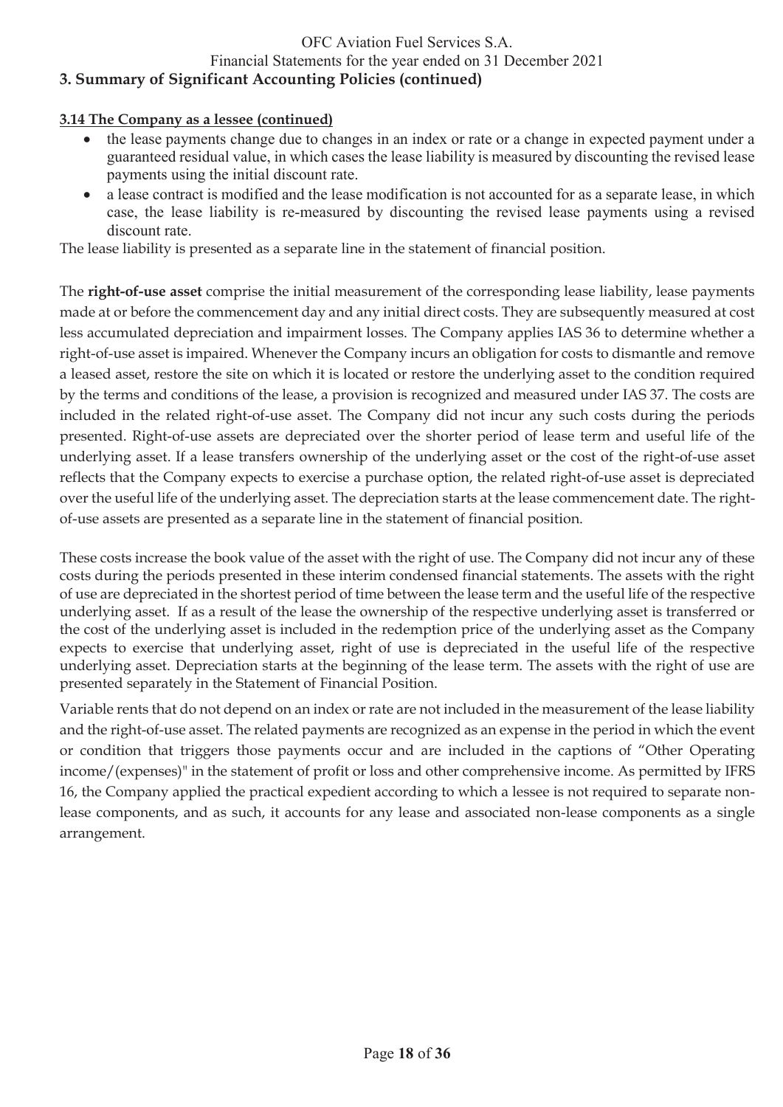## Financial Statements for the year ended on 31 December 2021

## **3. Summary of Significant Accounting Policies (continued)**

### **3.14 The Company as a lessee (continued)**

- the lease payments change due to changes in an index or rate or a change in expected payment under a guaranteed residual value, in which cases the lease liability is measured by discounting the revised lease payments using the initial discount rate.
- a lease contract is modified and the lease modification is not accounted for as a separate lease, in which case, the lease liability is re-measured by discounting the revised lease payments using a revised discount rate.

The lease liability is presented as a separate line in the statement of financial position.

The **right-of-use asset** comprise the initial measurement of the corresponding lease liability, lease payments made at or before the commencement day and any initial direct costs. They are subsequently measured at cost less accumulated depreciation and impairment losses. The Company applies IAS 36 to determine whether a right-of-use asset is impaired. Whenever the Company incurs an obligation for costs to dismantle and remove a leased asset, restore the site on which it is located or restore the underlying asset to the condition required by the terms and conditions of the lease, a provision is recognized and measured under IAS 37. The costs are included in the related right-of-use asset. The Company did not incur any such costs during the periods presented. Right-of-use assets are depreciated over the shorter period of lease term and useful life of the underlying asset. If a lease transfers ownership of the underlying asset or the cost of the right-of-use asset reflects that the Company expects to exercise a purchase option, the related right-of-use asset is depreciated over the useful life of the underlying asset. The depreciation starts at the lease commencement date. The rightof-use assets are presented as a separate line in the statement of financial position.

These costs increase the book value of the asset with the right of use. The Company did not incur any of these costs during the periods presented in these interim condensed financial statements. The assets with the right of use are depreciated in the shortest period of time between the lease term and the useful life of the respective underlying asset. If as a result of the lease the ownership of the respective underlying asset is transferred or the cost of the underlying asset is included in the redemption price of the underlying asset as the Company expects to exercise that underlying asset, right of use is depreciated in the useful life of the respective underlying asset. Depreciation starts at the beginning of the lease term. The assets with the right of use are presented separately in the Statement of Financial Position.

Variable rents that do not depend on an index or rate are not included in the measurement of the lease liability and the right-of-use asset. The related payments are recognized as an expense in the period in which the event or condition that triggers those payments occur and are included in the captions of "Other Operating income/(expenses)" in the statement of profit or loss and other comprehensive income. As permitted by IFRS 16, the Company applied the practical expedient according to which a lessee is not required to separate nonlease components, and as such, it accounts for any lease and associated non-lease components as a single arrangement.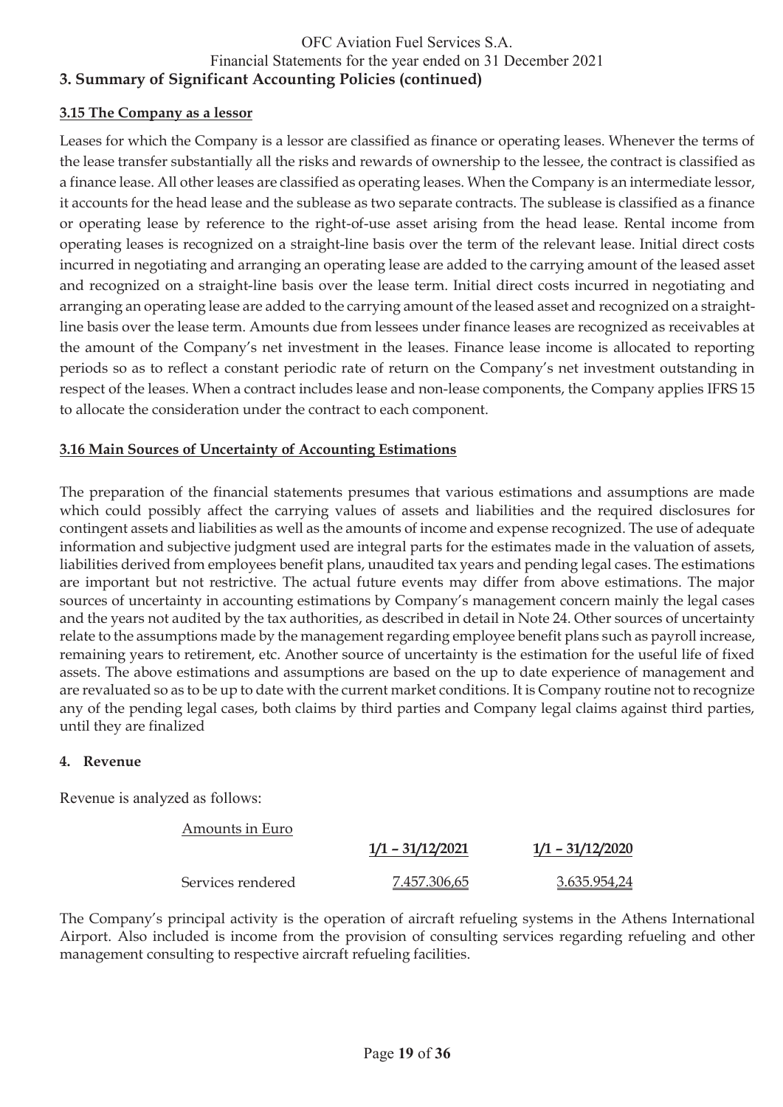### **3.15 The Company as a lessor**

Leases for which the Company is a lessor are classified as finance or operating leases. Whenever the terms of the lease transfer substantially all the risks and rewards of ownership to the lessee, the contract is classified as a finance lease. All other leases are classified as operating leases. When the Company is an intermediate lessor, it accounts for the head lease and the sublease as two separate contracts. The sublease is classified as a finance or operating lease by reference to the right-of-use asset arising from the head lease. Rental income from operating leases is recognized on a straight-line basis over the term of the relevant lease. Initial direct costs incurred in negotiating and arranging an operating lease are added to the carrying amount of the leased asset and recognized on a straight-line basis over the lease term. Initial direct costs incurred in negotiating and arranging an operating lease are added to the carrying amount of the leased asset and recognized on a straightline basis over the lease term. Amounts due from lessees under finance leases are recognized as receivables at the amount of the Company's net investment in the leases. Finance lease income is allocated to reporting periods so as to reflect a constant periodic rate of return on the Company's net investment outstanding in respect of the leases. When a contract includes lease and non-lease components, the Company applies IFRS 15 to allocate the consideration under the contract to each component.

### **3.16 Main Sources of Uncertainty of Accounting Estimations**

The preparation of the financial statements presumes that various estimations and assumptions are made which could possibly affect the carrying values of assets and liabilities and the required disclosures for contingent assets and liabilities as well as the amounts of income and expense recognized. The use of adequate information and subjective judgment used are integral parts for the estimates made in the valuation of assets, liabilities derived from employees benefit plans, unaudited tax years and pending legal cases. The estimations are important but not restrictive. The actual future events may differ from above estimations. The major sources of uncertainty in accounting estimations by Company's management concern mainly the legal cases and the years not audited by the tax authorities, as described in detail in Note 24. Other sources of uncertainty relate to the assumptions made by the management regarding employee benefit plans such as payroll increase, remaining years to retirement, etc. Another source of uncertainty is the estimation for the useful life of fixed assets. The above estimations and assumptions are based on the up to date experience of management and are revaluated so as to be up to date with the current market conditions. It is Company routine not to recognize any of the pending legal cases, both claims by third parties and Company legal claims against third parties, until they are finalized

#### **4. Revenue**

Revenue is analyzed as follows:

| Amounts in Euro   |                    |                    |
|-------------------|--------------------|--------------------|
|                   | $1/1 - 31/12/2021$ | $1/1 - 31/12/2020$ |
| Services rendered | 7.457.306,65       | 3.635.954,24       |

The Company's principal activity is the operation of aircraft refueling systems in the Athens International Airport. Also included is income from the provision of consulting services regarding refueling and other management consulting to respective aircraft refueling facilities.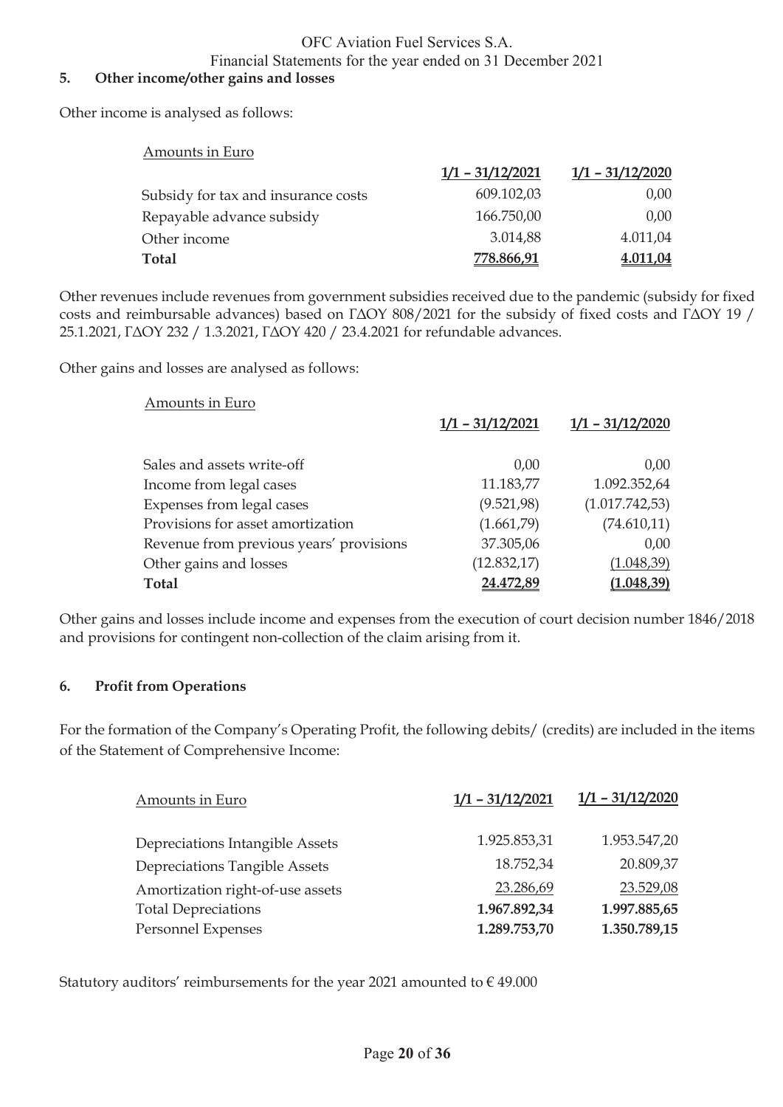### Financial Statements for the year ended on 31 December 2021

#### **5. Other income/other gains and losses**

Other income is analysed as follows:

| Amounts in Euro                     |                    |                    |
|-------------------------------------|--------------------|--------------------|
|                                     | $1/1 - 31/12/2021$ | $1/1 - 31/12/2020$ |
| Subsidy for tax and insurance costs | 609.102,03         | 0,00               |
| Repayable advance subsidy           | 166.750,00         | 0,00               |
| Other income                        | 3.014,88           | 4.011,04           |
| <b>Total</b>                        | 778.866,91         | 4.011,04           |

Other revenues include revenues from government subsidies received due to the pandemic (subsidy for fixed costs and reimbursable advances) based on ΓΔΟΥ 808/2021 for the subsidy of fixed costs and ΓΔΟΥ 19 / 25.1.2021, ΓΔΟΥ 232 / 1.3.2021, ΓΔΟΥ 420 / 23.4.2021 for refundable advances.

Other gains and losses are analysed as follows:

#### Amounts in Euro

|                                         | $1/1 - 31/12/2021$ | $1/1 - 31/12/2020$ |
|-----------------------------------------|--------------------|--------------------|
|                                         |                    |                    |
| Sales and assets write-off              | 0,00               | 0,00               |
| Income from legal cases                 | 11.183,77          | 1.092.352,64       |
| Expenses from legal cases               | (9.521, 98)        | (1.017.742.53)     |
| Provisions for asset amortization       | (1.661,79)         | (74.610,11)        |
| Revenue from previous years' provisions | 37.305,06          | 0,00               |
| Other gains and losses                  | (12.832,17)        | (1.048, 39)        |
| Total                                   | 24.472,89          | (1.048, 39)        |

Other gains and losses include income and expenses from the execution of court decision number 1846/2018 and provisions for contingent non-collection of the claim arising from it.

#### **6. Profit from Operations**

For the formation of the Company's Operating Profit, the following debits/ (credits) are included in the items of the Statement of Comprehensive Income:

| Amounts in Euro                  | $1/1 - 31/12/2021$ | $1/1 - 31/12/2020$ |
|----------------------------------|--------------------|--------------------|
| Depreciations Intangible Assets  | 1.925.853,31       | 1.953.547,20       |
| Depreciations Tangible Assets    | 18.752,34          | 20.809,37          |
| Amortization right-of-use assets | 23.286,69          | 23.529,08          |
| <b>Total Depreciations</b>       | 1.967.892,34       | 1.997.885,65       |
| Personnel Expenses               | 1.289.753,70       | 1.350.789,15       |

Statutory auditors' reimbursements for the year 2021 amounted to  $\epsilon$  49.000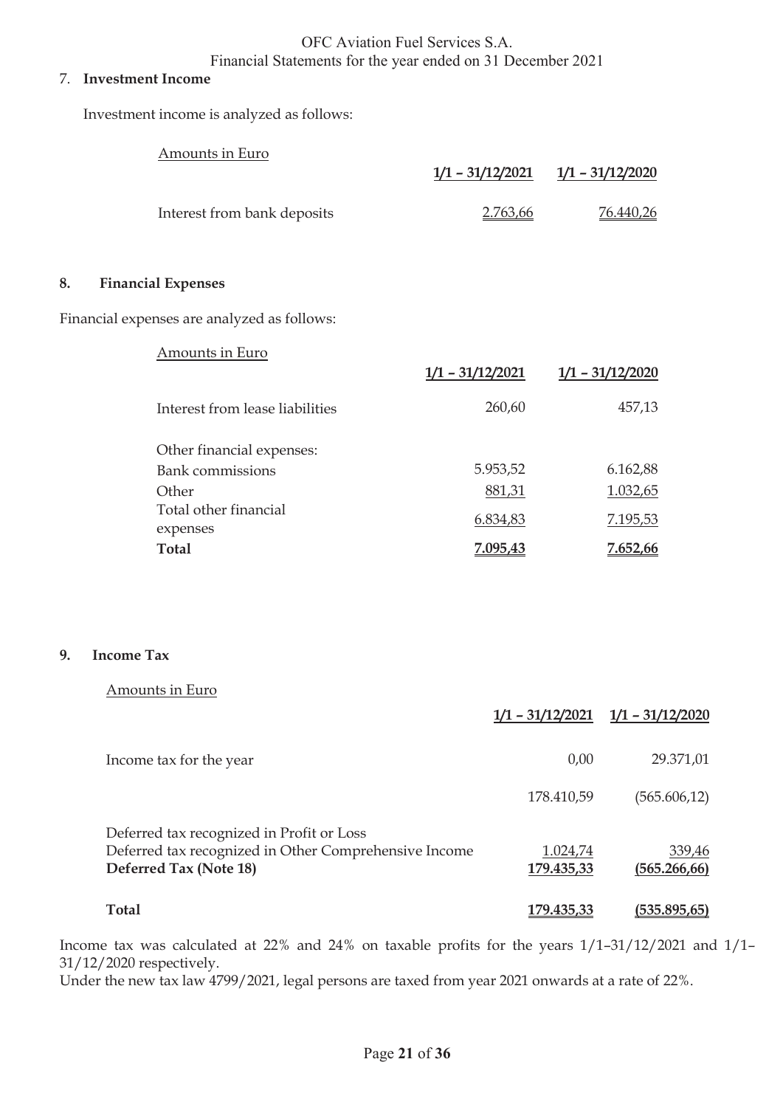#### 7. **Investment Income**

Investment income is analyzed as follows:

|    | Amounts in Euro                             |                          |                         |
|----|---------------------------------------------|--------------------------|-------------------------|
|    |                                             | <u> 1/1 – 31/12/2021</u> | $1/1 - 31/12/2020$      |
|    | Interest from bank deposits                 | 2.763,66                 | <u>76.440,26</u>        |
| 8. | <b>Financial Expenses</b>                   |                          |                         |
|    | Financial expenses are analyzed as follows: |                          |                         |
|    | Amounts in Euro                             |                          |                         |
|    |                                             | $1/1 - 31/12/2021$       | <u>1/1 - 31/12/2020</u> |
|    | Interest from lease liabilities             | 260,60                   | 457,13                  |
|    | Other financial expenses:                   |                          |                         |
|    | <b>Bank</b> commissions                     | 5.953,52                 | 6.162,88                |
|    | Other                                       | 881,31                   | 1.032,65                |
|    | Total other financial<br>expenses           | 6.834,83                 | 7.195,53                |
|    | <b>Total</b>                                | 7.095,43                 | 7.652,66                |

#### **9. Income Tax**

|--|

|                                                                                                                              |                        | $1/1 - 31/12/2021$ $1/1 - 31/12/2020$ |
|------------------------------------------------------------------------------------------------------------------------------|------------------------|---------------------------------------|
| Income tax for the year                                                                                                      | 0,00                   | 29.371,01                             |
|                                                                                                                              | 178.410,59             | (565.606,12)                          |
| Deferred tax recognized in Profit or Loss<br>Deferred tax recognized in Other Comprehensive Income<br>Deferred Tax (Note 18) | 1.024,74<br>179.435,33 | 339,46<br>(565.266, 66)               |
| Total                                                                                                                        | 179.435,33             | (535.895,65)                          |

Income tax was calculated at 22% and 24% on taxable profits for the years 1/1–31/12/2021 and 1/1– 31/12/2020 respectively.

Under the new tax law 4799/2021, legal persons are taxed from year 2021 onwards at a rate of 22%.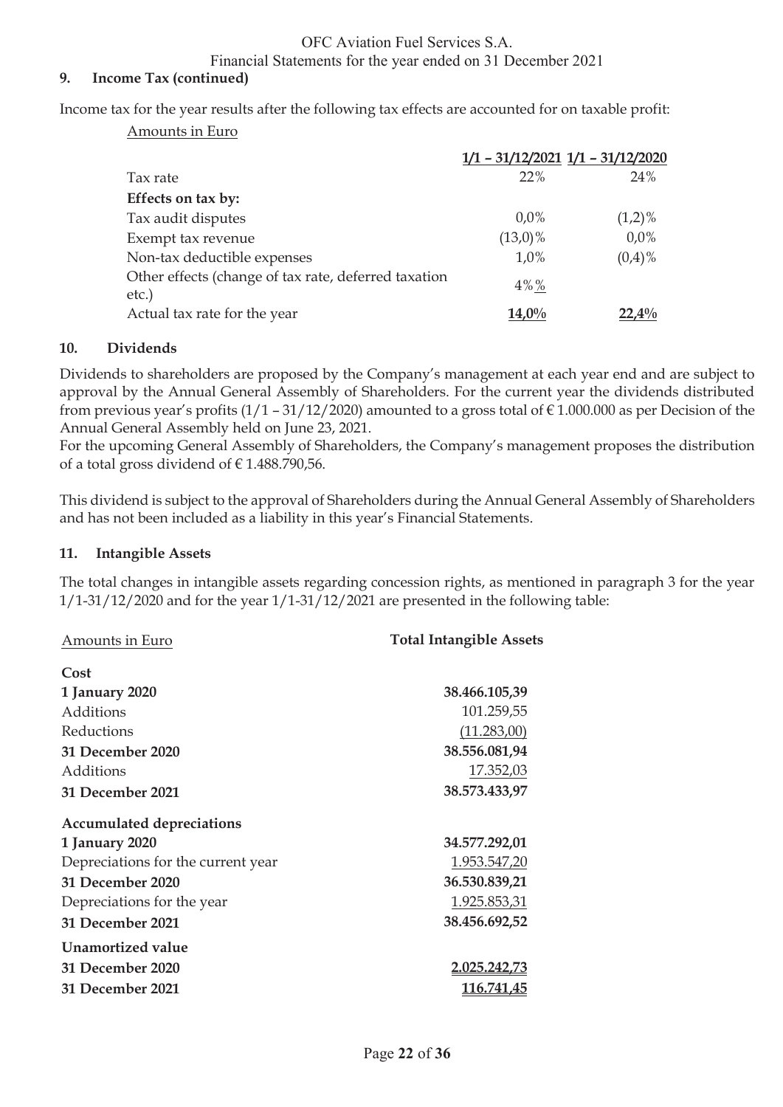Financial Statements for the year ended on 31 December 2021

#### **9. Income Tax (continued)**

Income tax for the year results after the following tax effects are accounted for on taxable profit:

Amounts in Euro

|                                                      | $1/1 - 31/12/2021$ $1/1 - 31/12/2020$ |           |
|------------------------------------------------------|---------------------------------------|-----------|
| Tax rate                                             | 22%                                   | 24%       |
| Effects on tax by:                                   |                                       |           |
| Tax audit disputes                                   | $0.0\%$                               | $(1,2)\%$ |
| Exempt tax revenue                                   | $(13,0)\%$                            | $0.0\%$   |
| Non-tax deductible expenses                          | 1,0%                                  | $(0,4)\%$ |
| Other effects (change of tax rate, deferred taxation | $4\%$ %                               |           |
| etc.)                                                |                                       |           |
| Actual tax rate for the year                         | $14,0\%$                              | $22,4\%$  |

#### **10. Dividends**

Dividends to shareholders are proposed by the Company's management at each year end and are subject to approval by the Annual General Assembly of Shareholders. For the current year the dividends distributed from previous year's profits  $(1/1 - 31/12/2020)$  amounted to a gross total of  $\epsilon$  1.000.000 as per Decision of the Annual General Assembly held on June 23, 2021.

For the upcoming General Assembly of Shareholders, the Company's management proposes the distribution of a total gross dividend of  $\in$  1.488.790,56.

This dividend is subject to the approval of Shareholders during the Annual General Assembly of Shareholders and has not been included as a liability in this year's Financial Statements.

#### **11. Intangible Assets**

The total changes in intangible assets regarding concession rights, as mentioned in paragraph 3 for the year  $1/1-31/12/2020$  and for the year  $1/1-31/12/2021$  are presented in the following table:

| Amounts in Euro                    | <b>Total Intangible Assets</b> |
|------------------------------------|--------------------------------|
| Cost                               |                                |
| 1 January 2020                     | 38.466.105,39                  |
| Additions                          | 101.259,55                     |
| Reductions                         | (11.283,00)                    |
| 31 December 2020                   | 38.556.081,94                  |
| Additions                          | 17.352,03                      |
| 31 December 2021                   | 38.573.433,97                  |
| <b>Accumulated depreciations</b>   |                                |
| 1 January 2020                     | 34.577.292,01                  |
| Depreciations for the current year | 1.953.547,20                   |
| 31 December 2020                   | 36.530.839,21                  |
| Depreciations for the year         | 1.925.853,31                   |
| 31 December 2021                   | 38.456.692,52                  |
| Unamortized value                  |                                |
| 31 December 2020                   | <u>2.025.242,73</u>            |
| 31 December 2021                   | <u>116.741,45</u>              |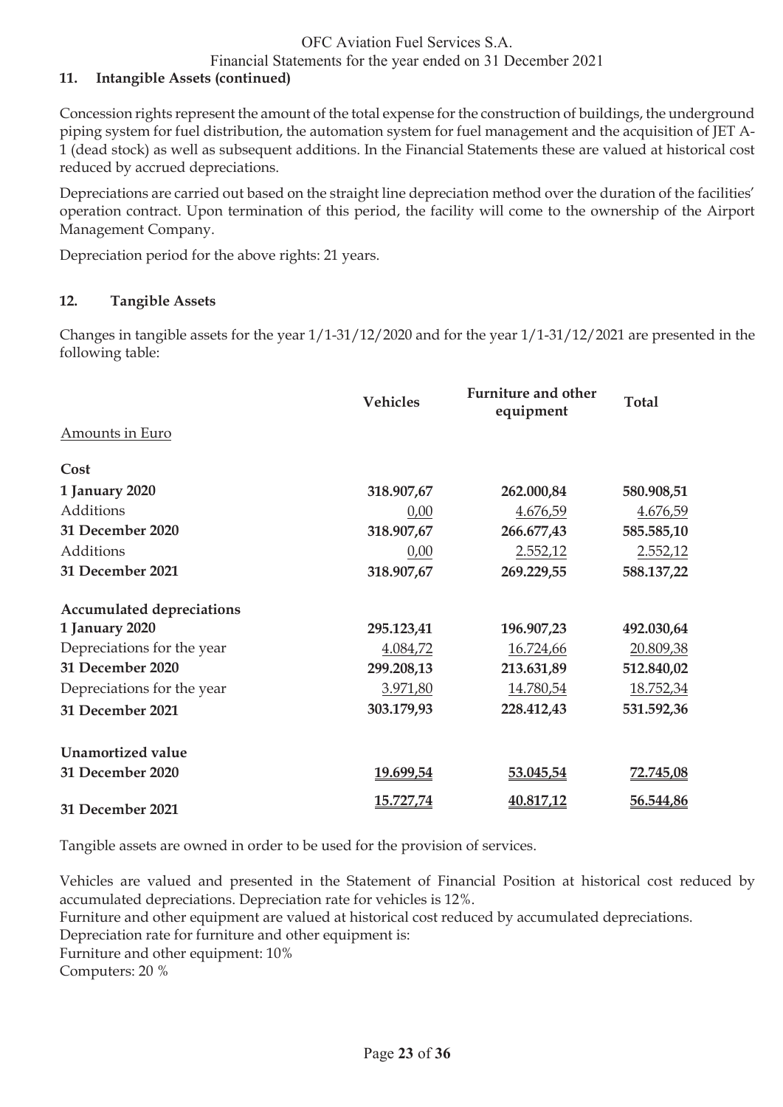Financial Statements for the year ended on 31 December 2021

### **11. Intangible Assets (continued)**

Concession rights represent the amount of the total expense for the construction of buildings, the underground piping system for fuel distribution, the automation system for fuel management and the acquisition of JET A-1 (dead stock) as well as subsequent additions. In the Financial Statements these are valued at historical cost reduced by accrued depreciations.

Depreciations are carried out based on the straight line depreciation method over the duration of the facilities' operation contract. Upon termination of this period, the facility will come to the ownership of the Airport Management Company.

Depreciation period for the above rights: 21 years.

### **12. Tangible Assets**

Changes in tangible assets for the year 1/1-31/12/2020 and for the year 1/1-31/12/2021 are presented in the following table:

|                                  | <b>Vehicles</b> | <b>Furniture and other</b><br>equipment | <b>Total</b> |
|----------------------------------|-----------------|-----------------------------------------|--------------|
| Amounts in Euro                  |                 |                                         |              |
| Cost                             |                 |                                         |              |
| 1 January 2020                   | 318.907,67      | 262.000,84                              | 580.908,51   |
| Additions                        | 0,00            | 4.676,59                                | 4.676,59     |
| 31 December 2020                 | 318.907,67      | 266.677,43                              | 585.585,10   |
| Additions                        | 0,00            | 2.552,12                                | 2.552,12     |
| 31 December 2021                 | 318.907,67      | 269.229,55                              | 588.137,22   |
| <b>Accumulated depreciations</b> |                 |                                         |              |
| 1 January 2020                   | 295.123,41      | 196.907,23                              | 492.030,64   |
| Depreciations for the year       | 4.084,72        | 16.724,66                               | 20.809,38    |
| 31 December 2020                 | 299.208,13      | 213.631,89                              | 512.840,02   |
| Depreciations for the year       | 3.971,80        | 14.780,54                               | 18.752,34    |
| 31 December 2021                 | 303.179,93      | 228.412,43                              | 531.592,36   |
| <b>Unamortized value</b>         |                 |                                         |              |
| 31 December 2020                 | 19.699,54       | 53.045,54                               | 72.745,08    |
| 31 December 2021                 | 15.727,74       | 40.817,12                               | 56.544,86    |

Tangible assets are owned in order to be used for the provision of services.

Vehicles are valued and presented in the Statement of Financial Position at historical cost reduced by accumulated depreciations. Depreciation rate for vehicles is 12%.

Furniture and other equipment are valued at historical cost reduced by accumulated depreciations.

Depreciation rate for furniture and other equipment is:

Furniture and other equipment: 10%

Computers: 20 %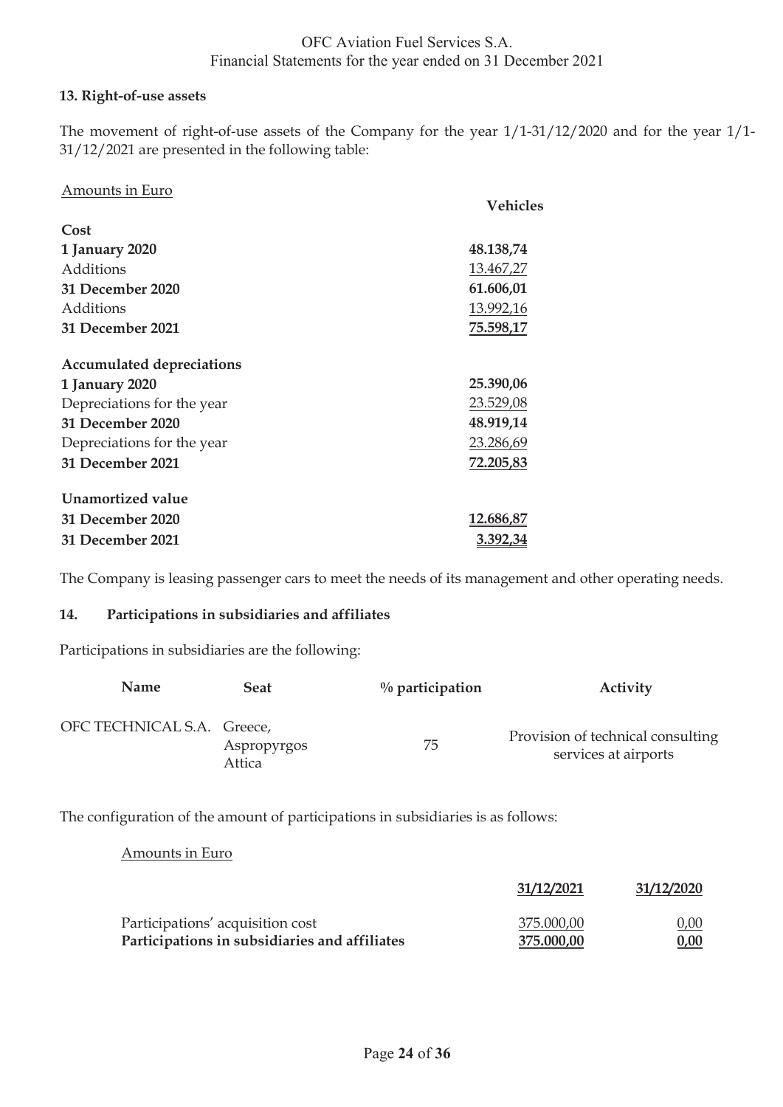### **13. Right-of-use assets**

The movement of right-of-use assets of the Company for the year 1/1-31/12/2020 and for the year 1/1- 31/12/2021 are presented in the following table:

| Amounts in Euro                  |                  |
|----------------------------------|------------------|
|                                  | Vehicles         |
| Cost                             |                  |
| 1 January 2020                   | 48.138,74        |
| Additions                        | 13.467,27        |
| 31 December 2020                 | 61.606,01        |
| Additions                        | 13.992,16        |
| 31 December 2021                 | 75.598,17        |
| <b>Accumulated depreciations</b> |                  |
| 1 January 2020                   | 25.390,06        |
| Depreciations for the year       | 23.529,08        |
| 31 December 2020                 | 48.919,14        |
| Depreciations for the year       | 23.286,69        |
| 31 December 2021                 | 72.205,83        |
| Unamortized value                |                  |
| 31 December 2020                 | <u>12.686,87</u> |
| 31 December 2021                 | 3.392,34         |

The Company is leasing passenger cars to meet the needs of its management and other operating needs.

#### **14. Participations in subsidiaries and affiliates**

Participations in subsidiaries are the following:

| <b>Name</b>                | Seat                  | $\%$ participation | Activity                                                  |
|----------------------------|-----------------------|--------------------|-----------------------------------------------------------|
| OFC TECHNICAL S.A. Greece, | Aspropyrgos<br>Attica | 75                 | Provision of technical consulting<br>services at airports |

The configuration of the amount of participations in subsidiaries is as follows:

Amounts in Euro

|                                               | 31/12/2021 | 31/12/2020  |
|-----------------------------------------------|------------|-------------|
| Participations' acquisition cost              | 375.000,00 | 0,00        |
| Participations in subsidiaries and affiliates | 375.000,00 | <u>0,00</u> |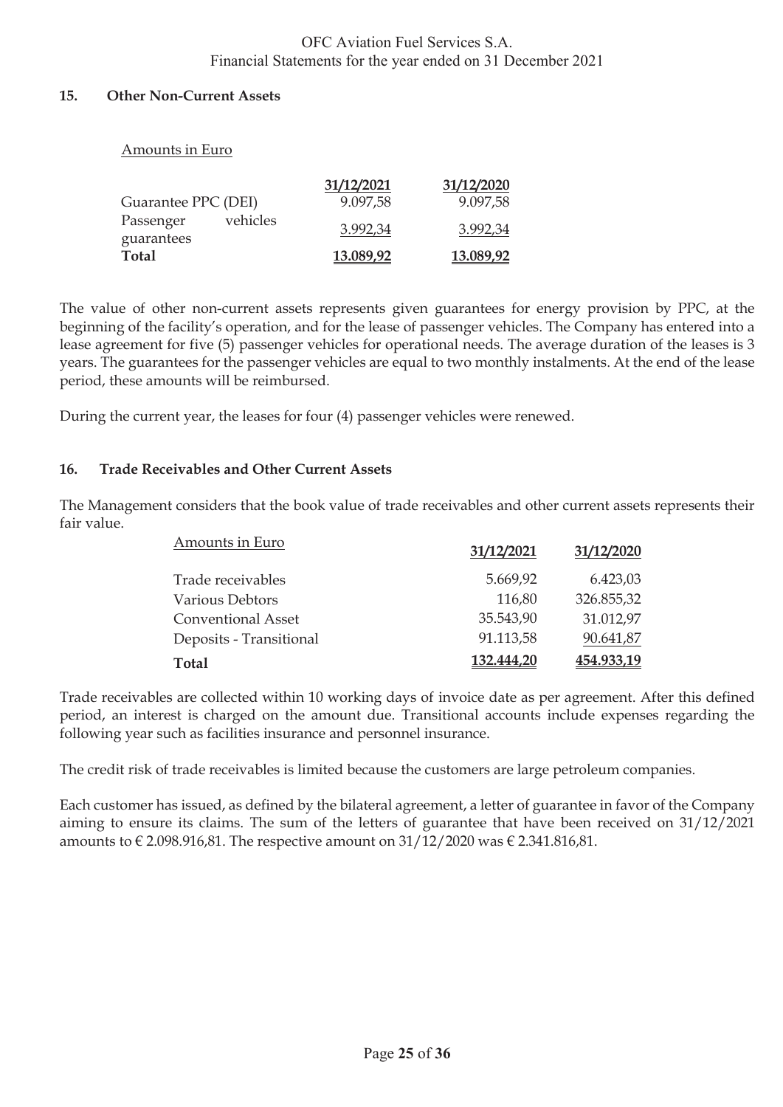#### **15. Other Non-Current Assets**

Amounts in Euro

| $1.1110$ and $0.111$ and $0.01$     |            |            |
|-------------------------------------|------------|------------|
|                                     | 31/12/2021 | 31/12/2020 |
| Guarantee PPC (DEI)                 | 9.097,58   | 9.097,58   |
| vehicles<br>Passenger<br>guarantees | 3.992,34   | 3.992,34   |
| <b>Total</b>                        | 13.089,92  | 13.089,92  |

The value of other non-current assets represents given guarantees for energy provision by PPC, at the beginning of the facility's operation, and for the lease of passenger vehicles. The Company has entered into a lease agreement for five (5) passenger vehicles for operational needs. The average duration of the leases is 3 years. The guarantees for the passenger vehicles are equal to two monthly instalments. At the end of the lease period, these amounts will be reimbursed.

During the current year, the leases for four (4) passenger vehicles were renewed.

#### **16. Trade Receivables and Other Current Assets**

The Management considers that the book value of trade receivables and other current assets represents their fair value.

| Amounts in Euro           | 31/12/2021 | 31/12/2020 |
|---------------------------|------------|------------|
| Trade receivables         | 5.669,92   | 6.423,03   |
| Various Debtors           | 116,80     | 326.855,32 |
| <b>Conventional Asset</b> | 35.543,90  | 31.012,97  |
| Deposits - Transitional   | 91.113,58  | 90.641,87  |
| <b>Total</b>              | 132,444,20 | 454.933,19 |

Trade receivables are collected within 10 working days of invoice date as per agreement. After this defined period, an interest is charged on the amount due. Transitional accounts include expenses regarding the following year such as facilities insurance and personnel insurance.

The credit risk of trade receivables is limited because the customers are large petroleum companies.

Each customer has issued, as defined by the bilateral agreement, a letter of guarantee in favor of the Company aiming to ensure its claims. The sum of the letters of guarantee that have been received on 31/12/2021 amounts to  $\epsilon$  2.098.916,81. The respective amount on 31/12/2020 was  $\epsilon$  2.341.816,81.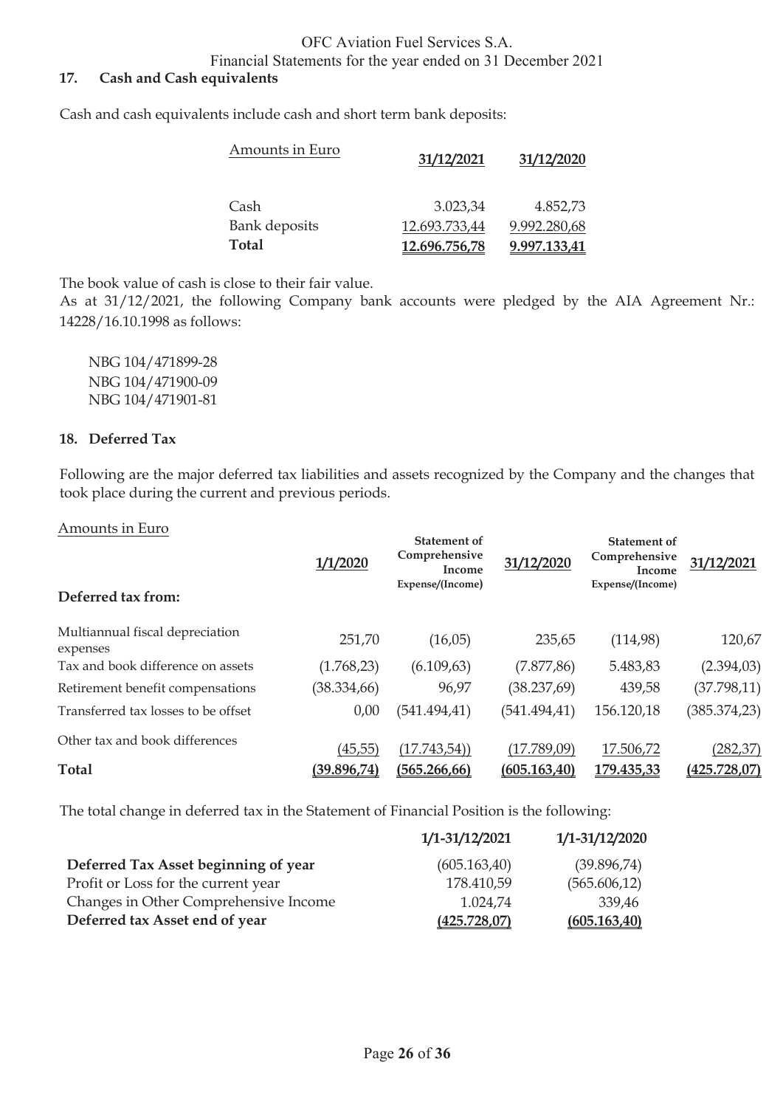Financial Statements for the year ended on 31 December 2021

### **17. Cash and Cash equivalents**

Cash and cash equivalents include cash and short term bank deposits:

| Amounts in Euro      | 31/12/2021    | 31/12/2020   |
|----------------------|---------------|--------------|
| Cash                 | 3.023,34      | 4.852,73     |
| <b>Bank</b> deposits | 12.693.733,44 | 9.992.280,68 |
| <b>Total</b>         | 12.696.756,78 | 9.997.133,41 |

The book value of cash is close to their fair value.

As at 31/12/2021, the following Company bank accounts were pledged by the AIA Agreement Nr.: 14228/16.10.1998 as follows:

 NBG 104/471899-28 NBG 104/471900-09 NBG 104/471901-81

#### **18. Deferred Tax**

Following are the major deferred tax liabilities and assets recognized by the Company and the changes that took place during the current and previous periods.

#### Amounts in Euro

|                                             | 1/1/2020     | <b>Statement of</b><br>Comprehensive<br>Income<br>Expense/(Income) | 31/12/2020    | <b>Statement of</b><br>Comprehensive<br>Income<br>Expense/(Income) | 31/12/2021   |
|---------------------------------------------|--------------|--------------------------------------------------------------------|---------------|--------------------------------------------------------------------|--------------|
| Deferred tax from:                          |              |                                                                    |               |                                                                    |              |
| Multiannual fiscal depreciation<br>expenses | 251,70       | (16,05)                                                            | 235,65        | (114,98)                                                           | 120,67       |
| Tax and book difference on assets           | (1.768, 23)  | (6.109, 63)                                                        | (7.877, 86)   | 5.483,83                                                           | (2.394, 03)  |
| Retirement benefit compensations            | (38.334, 66) | 96,97                                                              | (38.237,69)   | 439,58                                                             | (37.798, 11) |
| Transferred tax losses to be offset         | 0,00         | (541.494, 41)                                                      | (541.494, 41) | 156.120,18                                                         | (385.374,23) |
| Other tax and book differences              | (45, 55)     | (17.743, 54)                                                       | (17.789,09)   | 17.506,72                                                          | (282, 37)    |
| <b>Total</b>                                | (39.896,74)  | (565.266, 66)                                                      | (605.163,40)  | 179.435,33                                                         | (425.728,07) |

The total change in deferred tax in the Statement of Financial Position is the following:

|                                       | 1/1-31/12/2021 | 1/1-31/12/2020 |
|---------------------------------------|----------------|----------------|
| Deferred Tax Asset beginning of year  | (605.163,40)   | (39.896,74)    |
| Profit or Loss for the current year   | 178.410,59     | (565.606, 12)  |
| Changes in Other Comprehensive Income | 1.024,74       | 339,46         |
| Deferred tax Asset end of year        | (425.728,07)   | (605.163,40)   |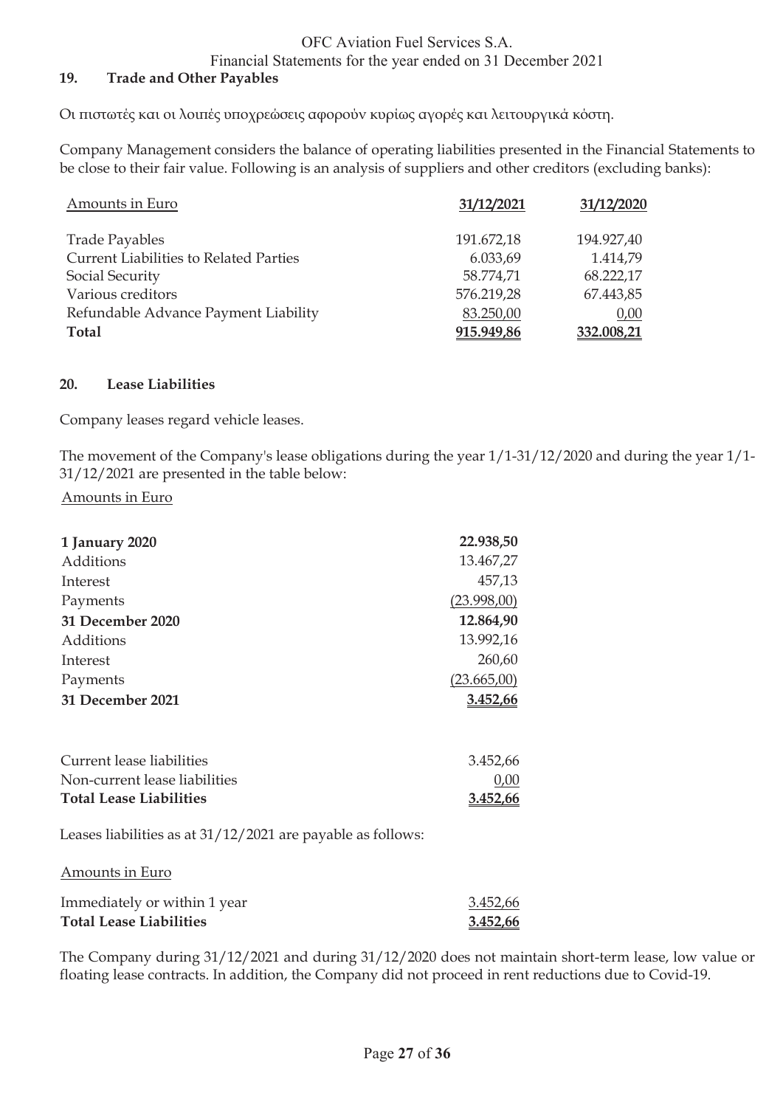Financial Statements for the year ended on 31 December 2021

### **19. Trade and Other Payables**

Οι πιστωτές και οι λοιπές υποχρεώσεις αφορούν κυρίως αγορές και λειτουργικά κόστη.

Company Management considers the balance of operating liabilities presented in the Financial Statements to be close to their fair value. Following is an analysis of suppliers and other creditors (excluding banks):

| Amounts in Euro                               | 31/12/2021 | 31/12/2020 |
|-----------------------------------------------|------------|------------|
| <b>Trade Payables</b>                         | 191.672,18 | 194.927,40 |
| <b>Current Liabilities to Related Parties</b> | 6.033,69   | 1.414,79   |
| Social Security                               | 58.774,71  | 68.222,17  |
| Various creditors                             | 576.219,28 | 67.443,85  |
| Refundable Advance Payment Liability          | 83.250,00  | 0,00       |
| Total                                         | 915.949,86 | 332.008,21 |

#### **20. Lease Liabilities**

Company leases regard vehicle leases.

The movement of the Company's lease obligations during the year 1/1-31/12/2020 and during the year 1/1- 31/12/2021 are presented in the table below:

#### Amounts in Euro

| 1 January 2020                 | 22.938,50   |
|--------------------------------|-------------|
| Additions                      | 13.467,27   |
| Interest                       | 457,13      |
| Payments                       | (23.998,00) |
| 31 December 2020               | 12.864,90   |
| Additions                      | 13.992,16   |
| Interest                       | 260,60      |
| Payments                       | (23.665,00) |
| 31 December 2021               | 3.452,66    |
| Current lease liabilities      | 3.452,66    |
| Non-current lease liabilities  | 0,00        |
| <b>Total Lease Liabilities</b> | 3.452,66    |

Leases liabilities as at 31/12/2021 are payable as follows:

#### Amounts in Euro

| Immediately or within 1 year   | 3.452,66 |
|--------------------------------|----------|
| <b>Total Lease Liabilities</b> | 3.452,66 |

The Company during 31/12/2021 and during 31/12/2020 does not maintain short-term lease, low value or floating lease contracts. In addition, the Company did not proceed in rent reductions due to Covid-19.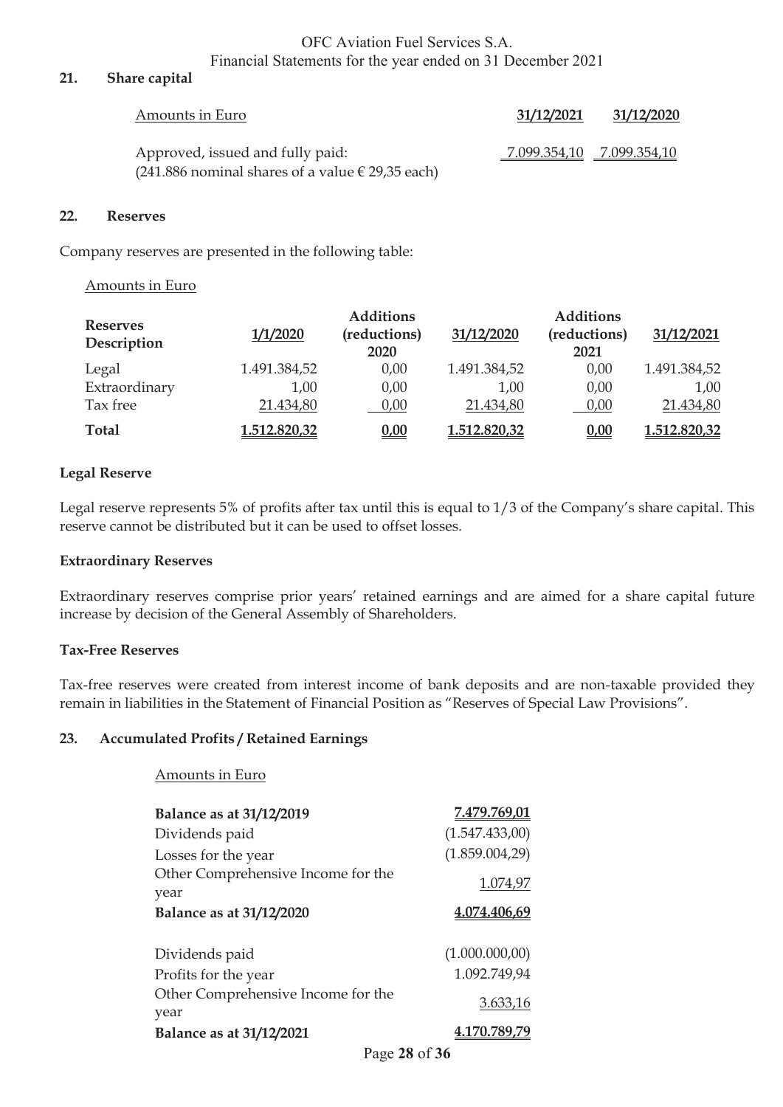#### **21. Share capital**

| Amounts in Euro                                                                            | 31/12/2021                | 31/12/2020 |
|--------------------------------------------------------------------------------------------|---------------------------|------------|
| Approved, issued and fully paid:<br>$(241.886$ nominal shares of a value $\in$ 29,35 each) | 7.099.354,10 7.099.354,10 |            |

#### **22. Reserves**

Company reserves are presented in the following table:

#### Amounts in Euro

| <b>Reserves</b><br>Description | 1/1/2020     | <b>Additions</b><br>(reductions)<br>2020 | 31/12/2020   | <b>Additions</b><br>(reductions)<br>2021 | 31/12/2021   |
|--------------------------------|--------------|------------------------------------------|--------------|------------------------------------------|--------------|
| Legal                          | 1.491.384,52 | 0,00                                     | 1.491.384,52 | 0,00                                     | 1.491.384,52 |
| Extraordinary                  | 1,00         | 0,00                                     | 1,00         | 0,00                                     | 1,00         |
| Tax free                       | 21.434,80    | 0,00                                     | 21.434,80    | 0,00                                     | 21.434,80    |
| Total                          | 1.512.820,32 | 0,00                                     | 1.512.820,32 | 0,00                                     | 1.512.820,32 |

#### **Legal Reserve**

Legal reserve represents 5% of profits after tax until this is equal to 1/3 of the Company's share capital. This reserve cannot be distributed but it can be used to offset losses.

#### **Extraordinary Reserves**

Extraordinary reserves comprise prior years' retained earnings and are aimed for a share capital future increase by decision of the General Assembly of Shareholders.

#### **Tax-Free Reserves**

Tax-free reserves were created from interest income of bank deposits and are non-taxable provided they remain in liabilities in the Statement of Financial Position as "Reserves of Special Law Provisions".

#### **23. Accumulated Profits / Retained Earnings**

|  | <b>Amounts in Euro</b> |  |  |
|--|------------------------|--|--|
|--|------------------------|--|--|

| Balance as at 31/12/2019                   | 7.479.769,01   |
|--------------------------------------------|----------------|
| Dividends paid                             | (1.547.433,00) |
| Losses for the year                        | (1.859.004,29) |
| Other Comprehensive Income for the         | 1.074,97       |
| year                                       |                |
| Balance as at 31/12/2020                   | 4.074.406,69   |
|                                            |                |
| Dividends paid                             | (1.000.000,00) |
| Profits for the year                       | 1.092.749,94   |
| Other Comprehensive Income for the<br>year | 3.633,16       |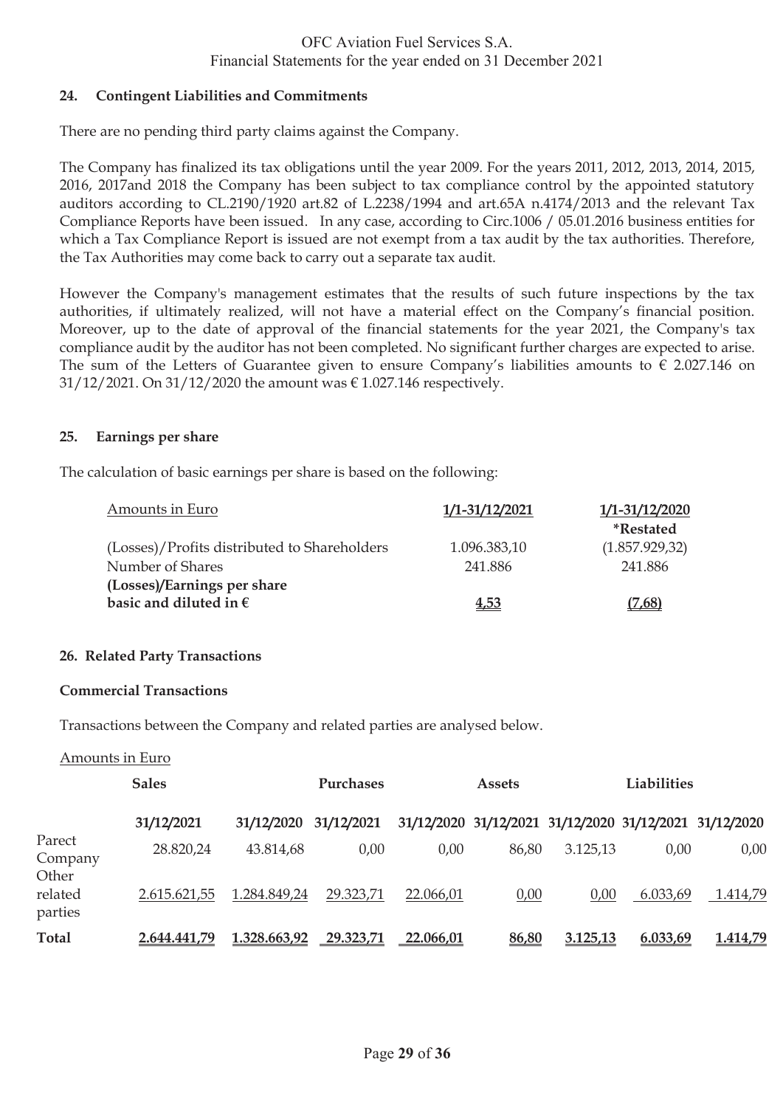#### **24. Contingent Liabilities and Commitments**

There are no pending third party claims against the Company.

The Company has finalized its tax obligations until the year 2009. For the years 2011, 2012, 2013, 2014, 2015, 2016, 2017and 2018 the Company has been subject to tax compliance control by the appointed statutory auditors according to CL.2190/1920 art.82 of L.2238/1994 and art.65A n.4174/2013 and the relevant Tax Compliance Reports have been issued. In any case, according to Circ.1006 / 05.01.2016 business entities for which a Tax Compliance Report is issued are not exempt from a tax audit by the tax authorities. Therefore, the Tax Authorities may come back to carry out a separate tax audit.

However the Company's management estimates that the results of such future inspections by the tax authorities, if ultimately realized, will not have a material effect on the Company's financial position. Moreover, up to the date of approval of the financial statements for the year 2021, the Company's tax compliance audit by the auditor has not been completed. No significant further charges are expected to arise. The sum of the Letters of Guarantee given to ensure Company's liabilities amounts to  $\epsilon$  2.027.146 on 31/12/2021. On 31/12/2020 the amount was € 1.027.146 respectively.

### **25. Earnings per share**

The calculation of basic earnings per share is based on the following:

| Amounts in Euro                              | 1/1-31/12/2021 | 1/1-31/12/2020          |
|----------------------------------------------|----------------|-------------------------|
|                                              |                | <i><b>*Restated</b></i> |
| (Losses)/Profits distributed to Shareholders | 1.096.383,10   | (1.857.929, 32)         |
| Number of Shares                             | 241.886        | 241.886                 |
| (Losses)/Earnings per share                  |                |                         |
| basic and diluted in $\epsilon$              | 4,53           | (7,68)                  |

#### **26. Related Party Transactions**

#### **Commercial Transactions**

Transactions between the Company and related parties are analysed below.

#### Amounts in Euro

|                            | <b>Sales</b> |              | <b>Purchases</b> |           | <b>Assets</b>                                          |          | Liabilities |          |
|----------------------------|--------------|--------------|------------------|-----------|--------------------------------------------------------|----------|-------------|----------|
|                            | 31/12/2021   | 31/12/2020   | 31/12/2021       |           | 31/12/2020 31/12/2021 31/12/2020 31/12/2021 31/12/2020 |          |             |          |
| Parect<br>Company<br>Other | 28.820,24    | 43.814,68    | 0,00             | 0,00      | 86,80                                                  | 3.125,13 | 0,00        | 0,00     |
| related<br>parties         | 2.615.621,55 | 1.284.849,24 | 29.323,71        | 22.066,01 | 0,00                                                   | 0,00     | 6.033,69    | 1.414,79 |
| Total                      | 2.644.441,79 | 1.328.663,92 | 29.323,71        | 22.066,01 | 86,80                                                  | 3.125,13 | 6.033,69    | 1.414,79 |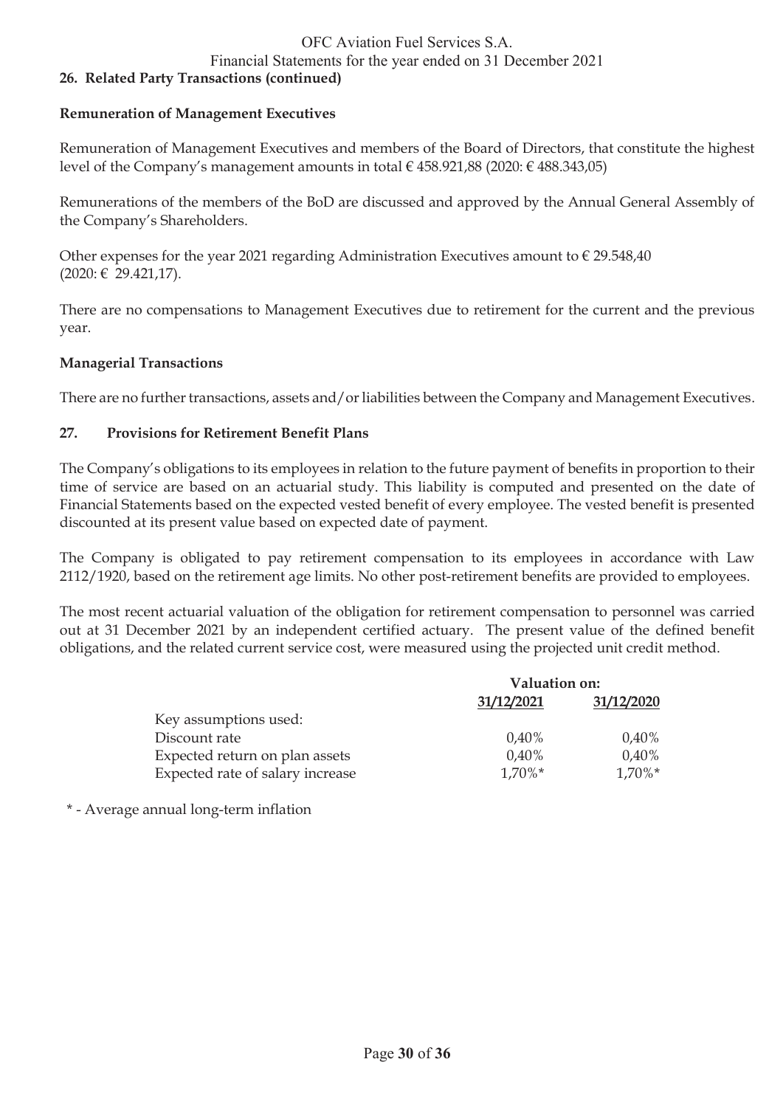Financial Statements for the year ended on 31 December 2021

#### **26. Related Party Transactions (continued)**

#### **Remuneration of Management Executives**

Remuneration of Management Executives and members of the Board of Directors, that constitute the highest level of the Company's management amounts in total € 458.921,88 (2020: € 488.343,05)

Remunerations of the members of the BoD are discussed and approved by the Annual General Assembly of the Company's Shareholders.

Other expenses for the year 2021 regarding Administration Executives amount to  $\epsilon$  29.548,40 (2020: € 29.421,17).

There are no compensations to Management Executives due to retirement for the current and the previous year.

#### **Managerial Transactions**

There are no further transactions, assets and/or liabilities between the Company and Management Executives.

#### **27. Provisions for Retirement Benefit Plans**

The Company's obligations to its employees in relation to the future payment of benefits in proportion to their time of service are based on an actuarial study. This liability is computed and presented on the date of Financial Statements based on the expected vested benefit of every employee. The vested benefit is presented discounted at its present value based on expected date of payment.

The Company is obligated to pay retirement compensation to its employees in accordance with Law 2112/1920, based on the retirement age limits. No other post-retirement benefits are provided to employees.

The most recent actuarial valuation of the obligation for retirement compensation to personnel was carried out at 31 December 2021 by an independent certified actuary. The present value of the defined benefit obligations, and the related current service cost, were measured using the projected unit credit method.

|                                  | Valuation on: |            |  |
|----------------------------------|---------------|------------|--|
|                                  | 31/12/2021    | 31/12/2020 |  |
| Key assumptions used:            |               |            |  |
| Discount rate                    | $0.40\%$      | $0,40\%$   |  |
| Expected return on plan assets   | $0.40\%$      | $0,40\%$   |  |
| Expected rate of salary increase | $1.70\%$ *    | $1,70\%*$  |  |

\* - Average annual long-term inflation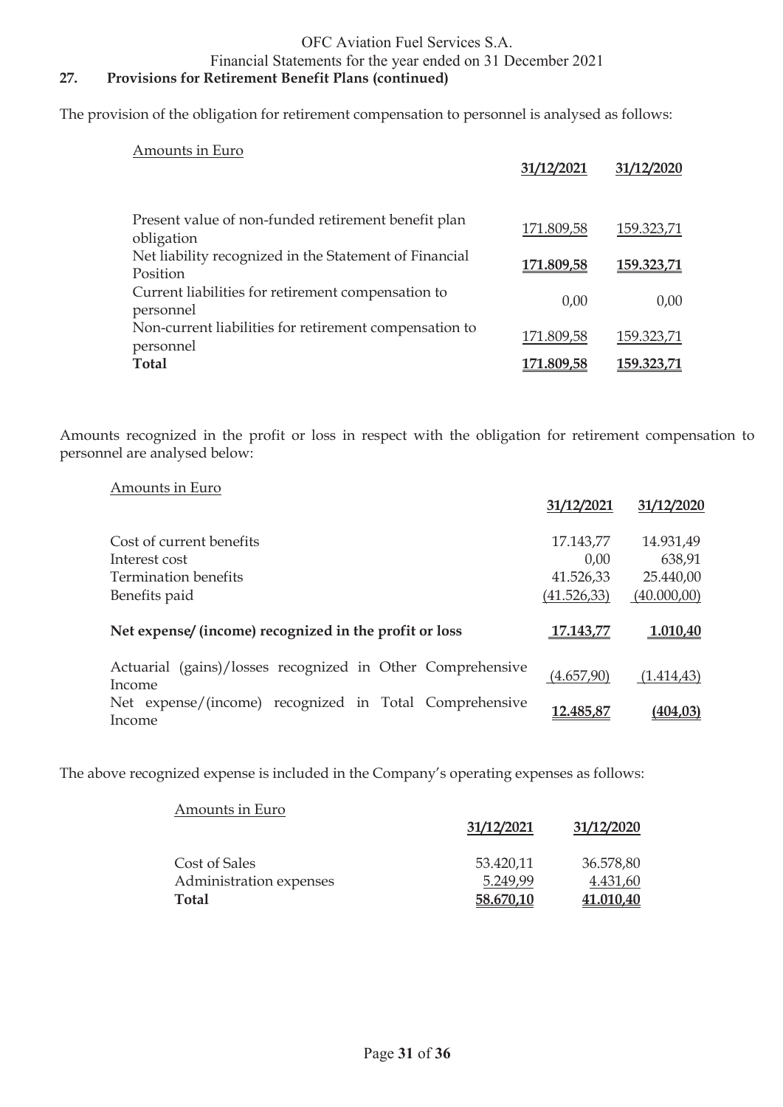#### Financial Statements for the year ended on 31 December 2021

## **27. Provisions for Retirement Benefit Plans (continued)**

The provision of the obligation for retirement compensation to personnel is analysed as follows:

| Amounts in Euro                                                     | 31/12/2021        | 31/12/2020        |
|---------------------------------------------------------------------|-------------------|-------------------|
| Present value of non-funded retirement benefit plan<br>obligation   | 171.809,58        | 159.323,71        |
| Net liability recognized in the Statement of Financial<br>Position  | <u>171.809,58</u> | 159.323,71        |
| Current liabilities for retirement compensation to<br>personnel     | 0,00              | 0,00              |
| Non-current liabilities for retirement compensation to<br>personnel | 171.809,58        | 159.323,71        |
| <b>Total</b>                                                        | <u>171.809,58</u> | <u>159.323,71</u> |

Amounts recognized in the profit or loss in respect with the obligation for retirement compensation to personnel are analysed below:

| Amounts in Euro                                                      | 31/12/2021  | 31/12/2020  |
|----------------------------------------------------------------------|-------------|-------------|
|                                                                      |             |             |
| Cost of current benefits                                             | 17.143,77   | 14.931,49   |
| Interest cost                                                        | 0,00        | 638,91      |
| <b>Termination benefits</b>                                          | 41.526,33   | 25.440,00   |
| Benefits paid                                                        | (41.526,33) | (40.000,00) |
| Net expense/ (income) recognized in the profit or loss               | 17.143,77   | 1.010,40    |
| Actuarial (gains)/losses recognized in Other Comprehensive<br>Income | (4.657,90)  | (1.414, 43) |
| Net expense/(income) recognized in Total Comprehensive<br>Income     | 12.485,87   | (404, 03)   |

The above recognized expense is included in the Company's operating expenses as follows:

| Amounts in Euro         | 31/12/2021 | 31/12/2020 |
|-------------------------|------------|------------|
| Cost of Sales           | 53.420,11  | 36.578,80  |
| Administration expenses | 5.249,99   | 4.431,60   |
| <b>Total</b>            | 58.670,10  | 41.010,40  |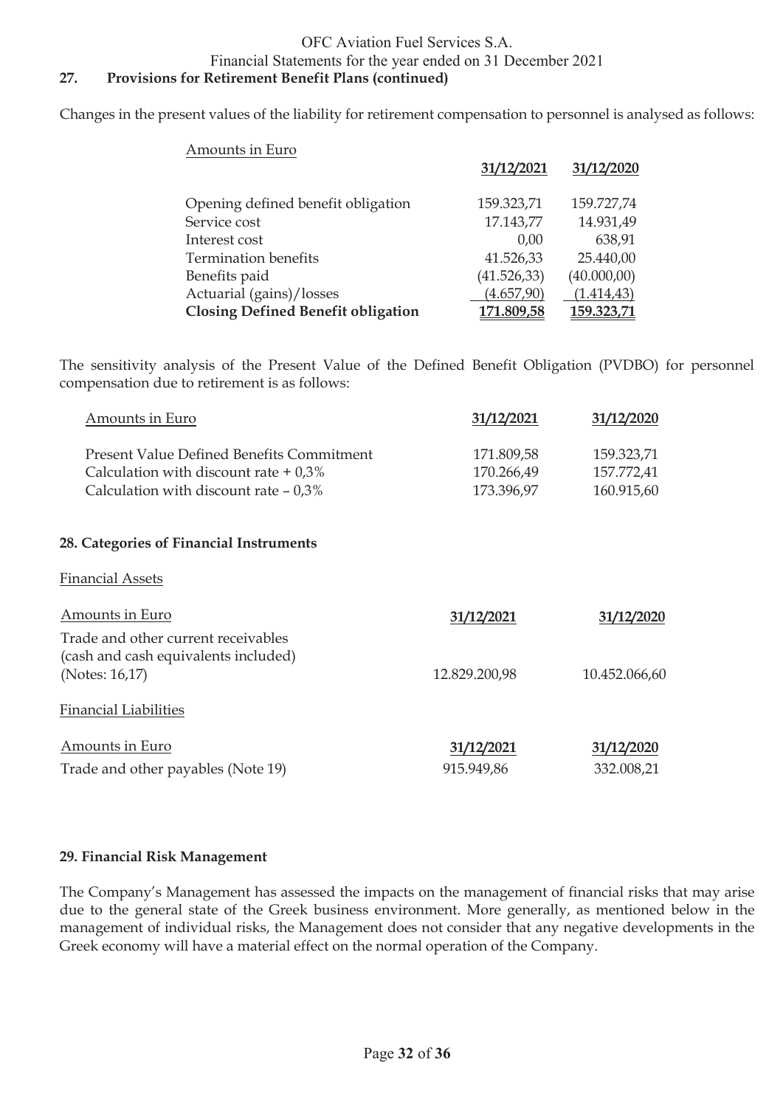Financial Statements for the year ended on 31 December 2021

## **27. Provisions for Retirement Benefit Plans (continued)**

Changes in the present values of the liability for retirement compensation to personnel is analysed as follows:

| Amounts in Euro                           |              |             |
|-------------------------------------------|--------------|-------------|
|                                           | 31/12/2021   | 31/12/2020  |
| Opening defined benefit obligation        | 159.323,71   | 159.727,74  |
| Service cost                              | 17.143,77    | 14.931,49   |
| Interest cost                             | 0.00         | 638,91      |
| Termination benefits                      | 41.526,33    | 25.440,00   |
| Benefits paid                             | (41.526, 33) | (40.000,00) |
| Actuarial (gains)/losses                  | (4.657,90)   | (1.414, 43) |
| <b>Closing Defined Benefit obligation</b> | 171.809,58   | 159.323,71  |

The sensitivity analysis of the Present Value of the Defined Benefit Obligation (PVDBO) for personnel compensation due to retirement is as follows:

| Amounts in Euro                                                             | 31/12/2021    | 31/12/2020    |
|-----------------------------------------------------------------------------|---------------|---------------|
| <b>Present Value Defined Benefits Commitment</b>                            | 171.809,58    | 159.323,71    |
| Calculation with discount rate $+0.3\%$                                     | 170.266,49    | 157.772,41    |
| Calculation with discount rate $-0.3\%$                                     | 173.396,97    | 160.915,60    |
| 28. Categories of Financial Instruments                                     |               |               |
| <b>Financial Assets</b>                                                     |               |               |
| Amounts in Euro                                                             | 31/12/2021    | 31/12/2020    |
| Trade and other current receivables<br>(cash and cash equivalents included) |               |               |
| (Notes: 16,17)                                                              | 12.829.200,98 | 10.452.066,60 |
| <b>Financial Liabilities</b>                                                |               |               |
| Amounts in Euro                                                             | 31/12/2021    | 31/12/2020    |
| Trade and other payables (Note 19)                                          | 915.949,86    | 332.008,21    |

#### **29. Financial Risk Management**

The Company's Management has assessed the impacts on the management of financial risks that may arise due to the general state of the Greek business environment. More generally, as mentioned below in the management of individual risks, the Management does not consider that any negative developments in the Greek economy will have a material effect on the normal operation of the Company.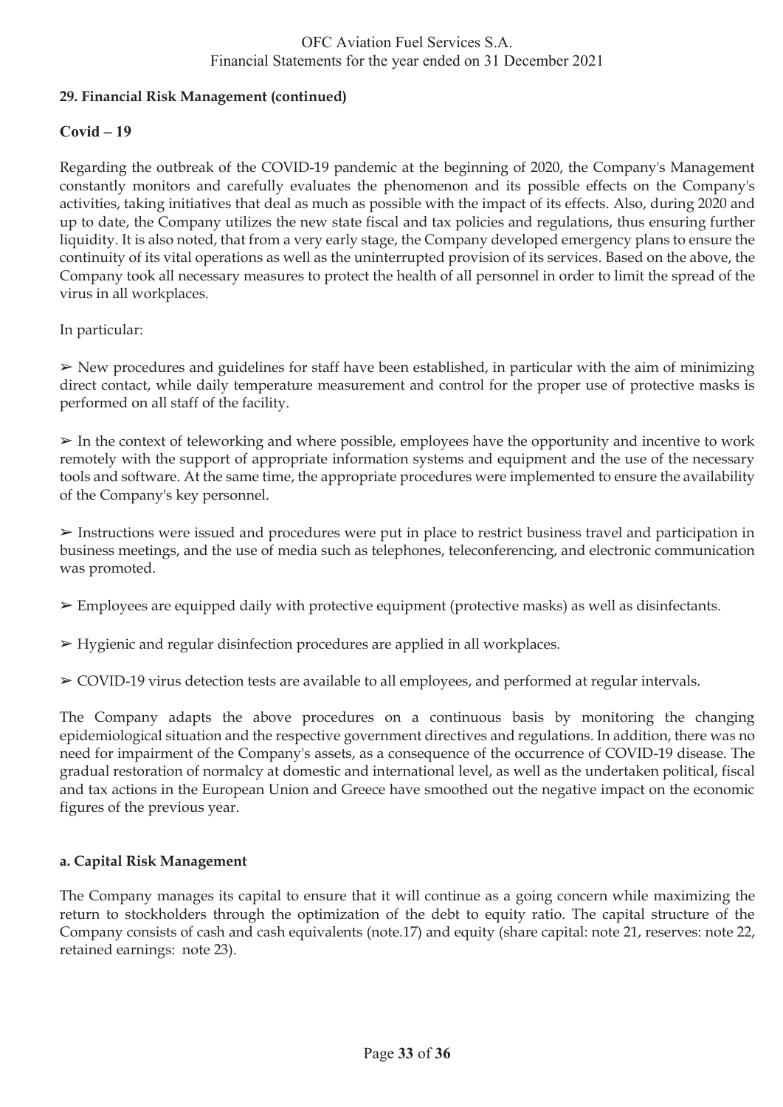## **29. Financial Risk Management (continued)**

## **Covid – 19**

Regarding the outbreak of the COVID-19 pandemic at the beginning of 2020, the Company's Management constantly monitors and carefully evaluates the phenomenon and its possible effects on the Company's activities, taking initiatives that deal as much as possible with the impact of its effects. Also, during 2020 and up to date, the Company utilizes the new state fiscal and tax policies and regulations, thus ensuring further liquidity. It is also noted, that from a very early stage, the Company developed emergency plans to ensure the continuity of its vital operations as well as the uninterrupted provision of its services. Based on the above, the Company took all necessary measures to protect the health of all personnel in order to limit the spread of the virus in all workplaces.

In particular:

 $\triangleright$  New procedures and guidelines for staff have been established, in particular with the aim of minimizing direct contact, while daily temperature measurement and control for the proper use of protective masks is performed on all staff of the facility.

 $\triangleright$  In the context of teleworking and where possible, employees have the opportunity and incentive to work remotely with the support of appropriate information systems and equipment and the use of the necessary tools and software. At the same time, the appropriate procedures were implemented to ensure the availability of the Company's key personnel.

➢ Instructions were issued and procedures were put in place to restrict business travel and participation in business meetings, and the use of media such as telephones, teleconferencing, and electronic communication was promoted.

 $\triangleright$  Employees are equipped daily with protective equipment (protective masks) as well as disinfectants.

➢ Hygienic and regular disinfection procedures are applied in all workplaces.

➢ COVID-19 virus detection tests are available to all employees, and performed at regular intervals.

The Company adapts the above procedures on a continuous basis by monitoring the changing epidemiological situation and the respective government directives and regulations. In addition, there was no need for impairment of the Company's assets, as a consequence of the occurrence of COVID-19 disease. The gradual restoration of normalcy at domestic and international level, as well as the undertaken political, fiscal and tax actions in the European Union and Greece have smoothed out the negative impact on the economic figures of the previous year.

### **a. Capital Risk Management**

The Company manages its capital to ensure that it will continue as a going concern while maximizing the return to stockholders through the optimization of the debt to equity ratio. The capital structure of the Company consists of cash and cash equivalents (note.17) and equity (share capital: note 21, reserves: note 22, retained earnings: note 23).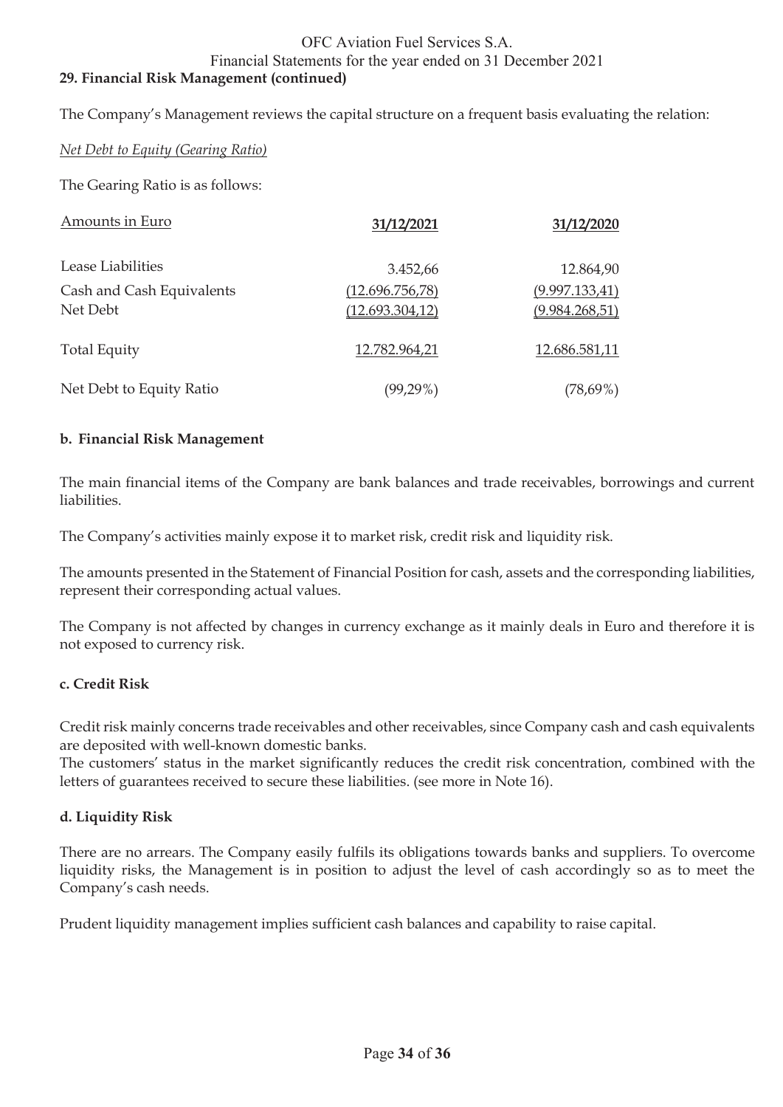#### OFC Aviation Fuel Services S.A. Financial Statements for the year ended on 31 December 2021 **29. Financial Risk Management (continued)**

The Company's Management reviews the capital structure on a frequent basis evaluating the relation:

#### *Net Debt to Equity (Gearing Ratio)*

The Gearing Ratio is as follows:

| Amounts in Euro                       | 31/12/2021                         | 31/12/2020                        |
|---------------------------------------|------------------------------------|-----------------------------------|
| Lease Liabilities                     | 3.452,66                           | 12.864,90                         |
| Cash and Cash Equivalents<br>Net Debt | (12.696.756,78)<br>(12.693.304.12) | (9.997.133,41)<br>(9.984.268, 51) |
| <b>Total Equity</b>                   | 12.782.964,21                      | 12.686.581,11                     |
| Net Debt to Equity Ratio              | $(99, 29\%)$                       | $(78,69\%)$                       |

#### **b. Financial Risk Management**

The main financial items of the Company are bank balances and trade receivables, borrowings and current liabilities.

The Company's activities mainly expose it to market risk, credit risk and liquidity risk.

The amounts presented in the Statement of Financial Position for cash, assets and the corresponding liabilities, represent their corresponding actual values.

The Company is not affected by changes in currency exchange as it mainly deals in Euro and therefore it is not exposed to currency risk.

#### **c. Credit Risk**

Credit risk mainly concerns trade receivables and other receivables, since Company cash and cash equivalents are deposited with well-known domestic banks.

The customers' status in the market significantly reduces the credit risk concentration, combined with the letters of guarantees received to secure these liabilities. (see more in Note 16).

#### **d. Liquidity Risk**

There are no arrears. The Company easily fulfils its obligations towards banks and suppliers. To overcome liquidity risks, the Management is in position to adjust the level of cash accordingly so as to meet the Company's cash needs.

Prudent liquidity management implies sufficient cash balances and capability to raise capital.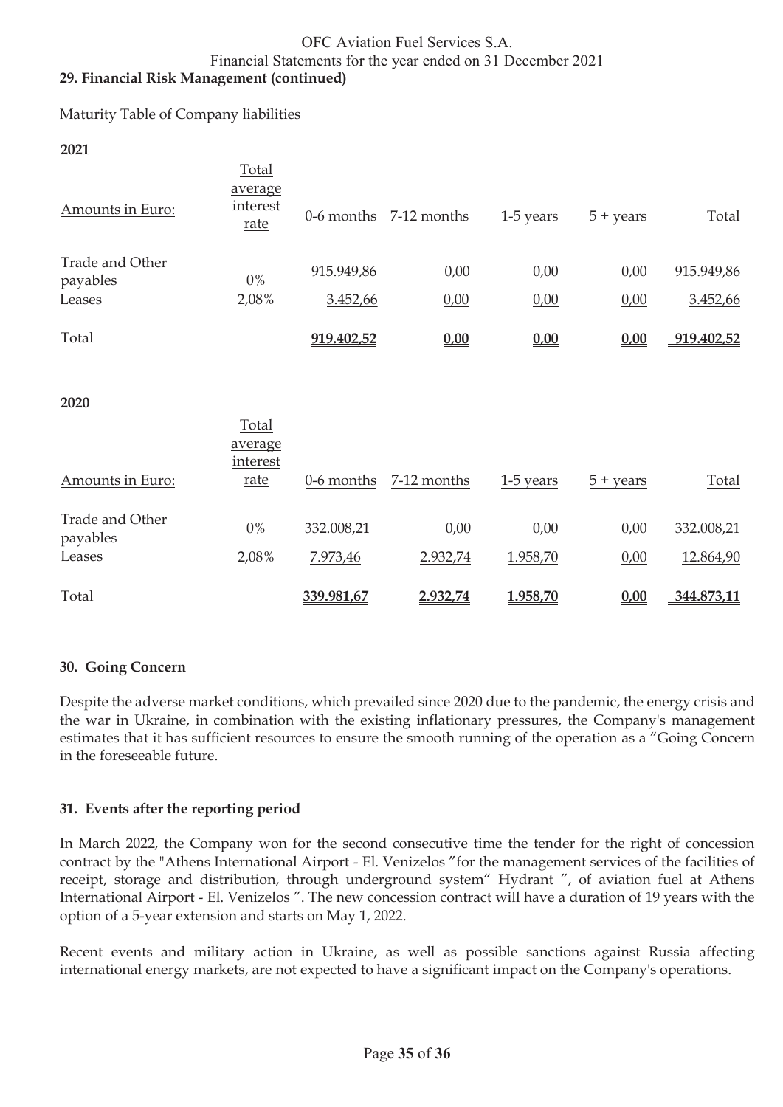### OFC Aviation Fuel Services S.A. Financial Statements for the year ended on 31 December 2021 **29. Financial Risk Management (continued)**

Maturity Table of Company liabilities

**2021**

| Amounts in Euro:            | Total<br>average<br>interest<br>rate | $0-6$ months | 7-12 months | 1-5 years | $5 + \text{years}$ | Total      |
|-----------------------------|--------------------------------------|--------------|-------------|-----------|--------------------|------------|
| Trade and Other<br>payables | $0\%$                                | 915.949,86   | 0,00        | 0,00      | 0,00               | 915.949,86 |
| Leases                      | 2,08%                                | 3.452,66     | 0,00        | 0,00      | 0,00               | 3.452,66   |
| Total                       |                                      | 919.402,52   | 0,00        | 0,00      | 0,00               | 919.402,52 |
| 2020                        | Total<br>average                     |              |             |           |                    |            |
| Amounts in Euro:            | interest<br>rate                     | 0-6 months   | 7-12 months | 1-5 years | $5 + \text{years}$ | Total      |
| Trade and Other<br>payables | $0\%$                                | 332.008,21   | 0,00        | 0,00      | 0,00               | 332.008,21 |
| Leases                      | 2,08%                                | 7.973,46     | 2.932,74    | 1.958,70  | 0,00               | 12.864,90  |
| Total                       |                                      | 339.981,67   | 2.932,74    | 1.958,70  | 0,00               | 344.873,11 |

### **30. Going Concern**

Despite the adverse market conditions, which prevailed since 2020 due to the pandemic, the energy crisis and the war in Ukraine, in combination with the existing inflationary pressures, the Company's management estimates that it has sufficient resources to ensure the smooth running of the operation as a "Going Concern in the foreseeable future.

### **31. Events after the reporting period**

In March 2022, the Company won for the second consecutive time the tender for the right of concession contract by the "Athens International Airport - El. Venizelos "for the management services of the facilities of receipt, storage and distribution, through underground system" Hydrant ", of aviation fuel at Athens International Airport - El. Venizelos ". The new concession contract will have a duration of 19 years with the option of a 5-year extension and starts on May 1, 2022.

Recent events and military action in Ukraine, as well as possible sanctions against Russia affecting international energy markets, are not expected to have a significant impact on the Company's operations.